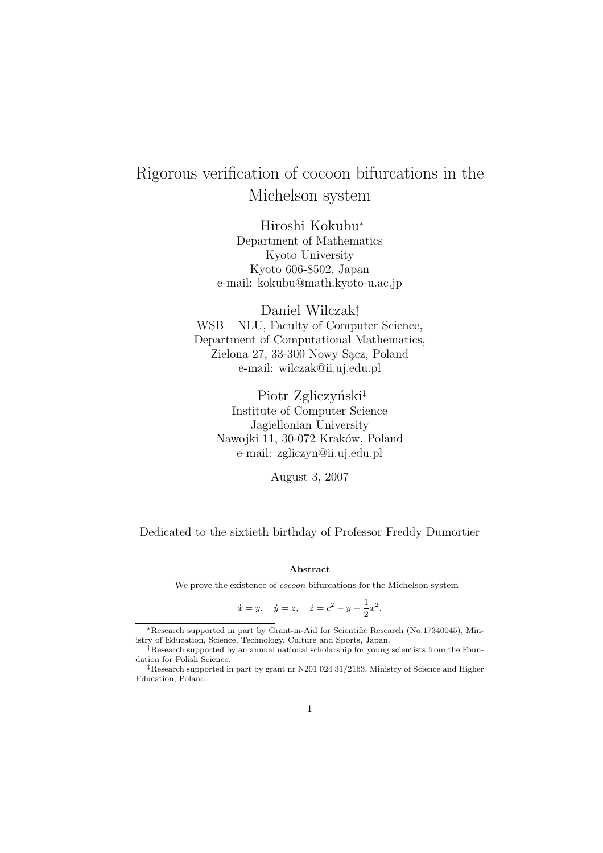# Rigorous verification of cocoon bifurcations in the Michelson system

Hiroshi Kokubu<sup>∗</sup> Department of Mathematics Kyoto University Kyoto 606-8502, Japan e-mail: kokubu@math.kyoto-u.ac.jp

Daniel Wilczak† , WSB – NLU, Faculty of Computer Science, Department of Computational Mathematics, Zielona 27, 33-300 Nowy Sącz, Poland e-mail: wilczak@ii.uj.edu.pl

Piotr Zgliczyński<sup>‡</sup> Institute of Computer Science Jagiellonian University Nawojki 11, 30-072 Kraków, Poland e-mail: zgliczyn@ii.uj.edu.pl

August 3, 2007

Dedicated to the sixtieth birthday of Professor Freddy Dumortier

#### Abstract

We prove the existence of *cocoon* bifurcations for the Michelson system

$$
\dot{x} = y
$$
,  $\dot{y} = z$ ,  $\dot{z} = c^2 - y - \frac{1}{2}x^2$ ,

<sup>∗</sup>Research supported in part by Grant-in-Aid for Scientific Research (No.17340045), Ministry of Education, Science, Technology, Culture and Sports, Japan.

<sup>†</sup>Research supported by an annual national scholarship for young scientists from the Foundation for Polish Science.

<sup>‡</sup>Research supported in part by grant nr N201 024 31/2163, Ministry of Science and Higher Education, Poland.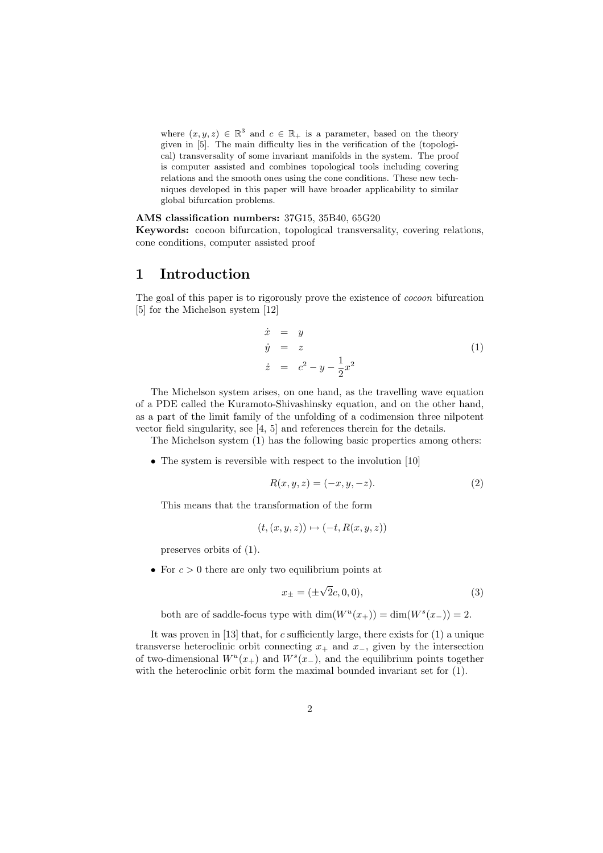where  $(x, y, z) \in \mathbb{R}^3$  and  $c \in \mathbb{R}_+$  is a parameter, based on the theory given in [5]. The main difficulty lies in the verification of the (topological) transversality of some invariant manifolds in the system. The proof is computer assisted and combines topological tools including covering relations and the smooth ones using the cone conditions. These new techniques developed in this paper will have broader applicability to similar global bifurcation problems.

AMS classification numbers: 37G15, 35B40, 65G20

Keywords: cocoon bifurcation, topological transversality, covering relations, cone conditions, computer assisted proof

### 1 Introduction

The goal of this paper is to rigorously prove the existence of cocoon bifurcation [5] for the Michelson system [12]

$$
\begin{array}{rcl}\n\dot{x} &=& y\\
\dot{y} &=& z\\
\dot{z} &=& c^2 - y - \frac{1}{2}x^2\n\end{array} \tag{1}
$$

The Michelson system arises, on one hand, as the travelling wave equation of a PDE called the Kuramoto-Shivashinsky equation, and on the other hand, as a part of the limit family of the unfolding of a codimension three nilpotent vector field singularity, see [4, 5] and references therein for the details.

The Michelson system (1) has the following basic properties among others:

• The system is reversible with respect to the involution [10]

$$
R(x, y, z) = (-x, y, -z).
$$
 (2)

This means that the transformation of the form

$$
(t, (x, y, z)) \mapsto (-t, R(x, y, z))
$$

preserves orbits of (1).

• For  $c > 0$  there are only two equilibrium points at

$$
x_{\pm} = (\pm \sqrt{2}c, 0, 0), \tag{3}
$$

both are of saddle-focus type with  $\dim(W^u(x_+)) = \dim(W^s(x_-)) = 2$ .

It was proven in  $[13]$  that, for c sufficiently large, there exists for  $(1)$  a unique transverse heteroclinic orbit connecting  $x_+$  and  $x_-,$  given by the intersection of two-dimensional  $W^u(x_+)$  and  $W^s(x_-)$ , and the equilibrium points together with the heteroclinic orbit form the maximal bounded invariant set for  $(1)$ .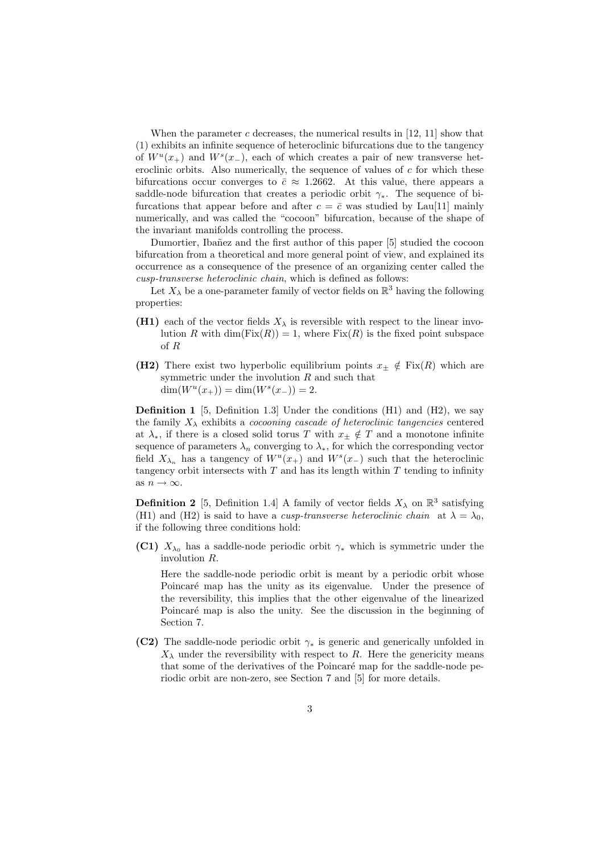When the parameter c decreases, the numerical results in  $[12, 11]$  show that (1) exhibits an infinite sequence of heteroclinic bifurcations due to the tangency of  $W^u(x_+)$  and  $W^s(x_-)$ , each of which creates a pair of new transverse heteroclinic orbits. Also numerically, the sequence of values of  $c$  for which these bifurcations occur converges to  $\bar{c} \approx 1.2662$ . At this value, there appears a saddle-node bifurcation that creates a periodic orbit  $\gamma_*$ . The sequence of bifurcations that appear before and after  $c = \bar{c}$  was studied by Lau[11] mainly numerically, and was called the "cocoon" bifurcation, because of the shape of the invariant manifolds controlling the process.

Dumortier, Ibañez and the first author of this paper [5] studied the cocoon bifurcation from a theoretical and more general point of view, and explained its occurrence as a consequence of the presence of an organizing center called the cusp-transverse heteroclinic chain, which is defined as follows:

Let  $X_{\lambda}$  be a one-parameter family of vector fields on  $\mathbb{R}^{3}$  having the following properties:

- (H1) each of the vector fields  $X_{\lambda}$  is reversible with respect to the linear involution R with  $\dim(\text{Fix}(R)) = 1$ , where  $\text{Fix}(R)$  is the fixed point subspace of R
- (H2) There exist two hyperbolic equilibrium points  $x_{\pm} \notin \text{Fix}(R)$  which are symmetric under the involution R and such that  $\dim(W^u(x_+)) = \dim(W^s(x_-)) = 2.$

**Definition 1** [5, Definition 1.3] Under the conditions  $(H1)$  and  $(H2)$ , we say the family  $X_{\lambda}$  exhibits a *cocooning cascade of heteroclinic tangencies* centered at  $\lambda_*$ , if there is a closed solid torus T with  $x_{\pm} \notin T$  and a monotone infinite sequence of parameters  $\lambda_n$  converging to  $\lambda_*$ , for which the corresponding vector field  $X_{\lambda_n}$  has a tangency of  $W^u(x_+)$  and  $W^s(x_-)$  such that the heteroclinic tangency orbit intersects with  $T$  and has its length within  $T$  tending to infinity as  $n \to \infty$ .

**Definition 2** [5, Definition 1.4] A family of vector fields  $X_{\lambda}$  on  $\mathbb{R}^{3}$  satisfying (H1) and (H2) is said to have a *cusp-transverse heteroclinic chain* at  $\lambda = \lambda_0$ , if the following three conditions hold:

(C1)  $X_{\lambda_0}$  has a saddle-node periodic orbit  $\gamma_*$  which is symmetric under the involution R.

Here the saddle-node periodic orbit is meant by a periodic orbit whose Poincaré map has the unity as its eigenvalue. Under the presence of the reversibility, this implies that the other eigenvalue of the linearized Poincaré map is also the unity. See the discussion in the beginning of Section 7.

(C2) The saddle-node periodic orbit  $\gamma_*$  is generic and generically unfolded in  $X_{\lambda}$  under the reversibility with respect to R. Here the genericity means that some of the derivatives of the Poincaré map for the saddle-node periodic orbit are non-zero, see Section 7 and [5] for more details.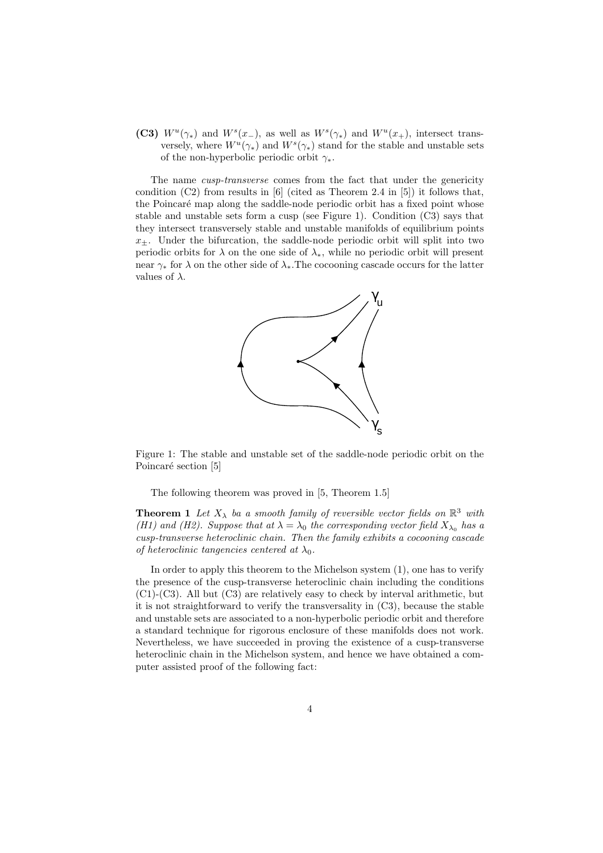(C3)  $W^u(\gamma_*)$  and  $W^s(x_-)$ , as well as  $W^s(\gamma_*)$  and  $W^u(x_+)$ , intersect transversely, where  $W^u(\gamma_*)$  and  $W^s(\gamma_*)$  stand for the stable and unstable sets of the non-hyperbolic periodic orbit  $\gamma_*$ .

The name *cusp-transverse* comes from the fact that under the genericity condition (C2) from results in [6] (cited as Theorem 2.4 in [5]) it follows that, the Poincaré map along the saddle-node periodic orbit has a fixed point whose stable and unstable sets form a cusp (see Figure 1). Condition (C3) says that they intersect transversely stable and unstable manifolds of equilibrium points  $x_{+}$ . Under the bifurcation, the saddle-node periodic orbit will split into two periodic orbits for  $\lambda$  on the one side of  $\lambda_*$ , while no periodic orbit will present near  $\gamma_*$  for  $\lambda$  on the other side of  $\lambda_*$ . The cocooning cascade occurs for the latter values of  $\lambda$ .



Figure 1: The stable and unstable set of the saddle-node periodic orbit on the Poincaré section [5]

The following theorem was proved in [5, Theorem 1.5]

**Theorem 1** Let  $X_{\lambda}$  ba a smooth family of reversible vector fields on  $\mathbb{R}^{3}$  with (H1) and (H2). Suppose that at  $\lambda = \lambda_0$  the corresponding vector field  $X_{\lambda_0}$  has a cusp-transverse heteroclinic chain. Then the family exhibits a cocooning cascade of heteroclinic tangencies centered at  $\lambda_0$ .

In order to apply this theorem to the Michelson system (1), one has to verify the presence of the cusp-transverse heteroclinic chain including the conditions  $(C1)$ - $(C3)$ . All but  $(C3)$  are relatively easy to check by interval arithmetic, but it is not straightforward to verify the transversality in (C3), because the stable and unstable sets are associated to a non-hyperbolic periodic orbit and therefore a standard technique for rigorous enclosure of these manifolds does not work. Nevertheless, we have succeeded in proving the existence of a cusp-transverse heteroclinic chain in the Michelson system, and hence we have obtained a computer assisted proof of the following fact: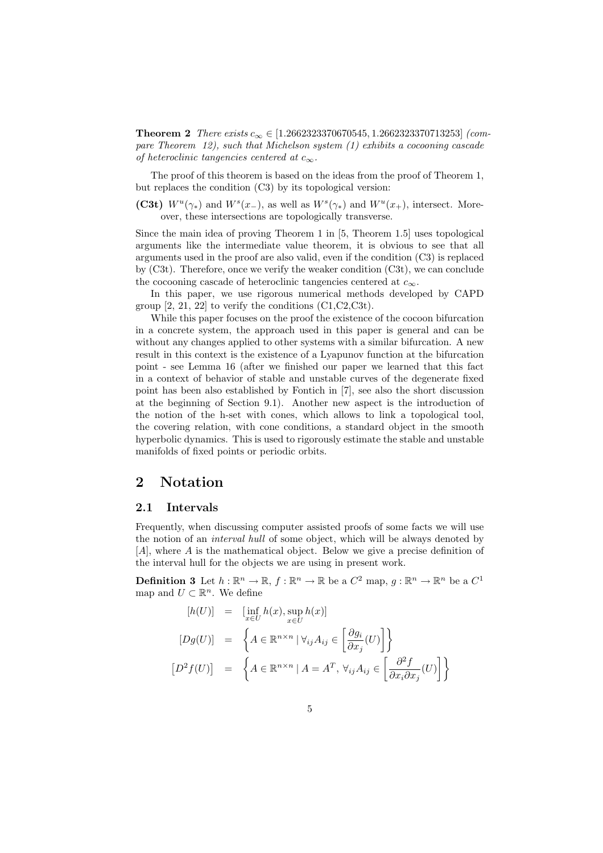Theorem 2 There exists  $c_{\infty} \in [1.2662323370670545, 1.2662323370713253]$  (compare Theorem 12), such that Michelson system (1) exhibits a cocooning cascade of heteroclinic tangencies centered at  $c_{\infty}$ .

The proof of this theorem is based on the ideas from the proof of Theorem 1, but replaces the condition (C3) by its topological version:

(C3t)  $W^u(\gamma_*)$  and  $W^s(x_-)$ , as well as  $W^s(\gamma_*)$  and  $W^u(x_+)$ , intersect. Moreover, these intersections are topologically transverse.

Since the main idea of proving Theorem 1 in [5, Theorem 1.5] uses topological arguments like the intermediate value theorem, it is obvious to see that all arguments used in the proof are also valid, even if the condition (C3) is replaced by (C3t). Therefore, once we verify the weaker condition (C3t), we can conclude the cocooning cascade of heteroclinic tangencies centered at  $c_{\infty}$ .

In this paper, we use rigorous numerical methods developed by CAPD group  $[2, 21, 22]$  to verify the conditions  $(C1, C2, C3t)$ .

While this paper focuses on the proof the existence of the cocoon bifurcation in a concrete system, the approach used in this paper is general and can be without any changes applied to other systems with a similar bifurcation. A new result in this context is the existence of a Lyapunov function at the bifurcation point - see Lemma 16 (after we finished our paper we learned that this fact in a context of behavior of stable and unstable curves of the degenerate fixed point has been also established by Fontich in [7], see also the short discussion at the beginning of Section 9.1). Another new aspect is the introduction of the notion of the h-set with cones, which allows to link a topological tool, the covering relation, with cone conditions, a standard object in the smooth hyperbolic dynamics. This is used to rigorously estimate the stable and unstable manifolds of fixed points or periodic orbits.

### 2 Notation

#### 2.1 Intervals

Frequently, when discussing computer assisted proofs of some facts we will use the notion of an interval hull of some object, which will be always denoted by [A], where A is the mathematical object. Below we give a precise definition of the interval hull for the objects we are using in present work.

**Definition 3** Let  $h : \mathbb{R}^n \to \mathbb{R}$ ,  $f : \mathbb{R}^n \to \mathbb{R}$  be a  $C^2$  map,  $g : \mathbb{R}^n \to \mathbb{R}^n$  be a  $C^1$ map and  $U \subset \mathbb{R}^n$ . We define

$$
[h(U)] = [\inf_{x \in U} h(x), \sup_{x \in U} h(x)]
$$
  
\n
$$
[Dg(U)] = \left\{ A \in \mathbb{R}^{n \times n} \mid \forall_{ij} A_{ij} \in \left[ \frac{\partial g_i}{\partial x_j}(U) \right] \right\}
$$
  
\n
$$
[D^2 f(U)] = \left\{ A \in \mathbb{R}^{n \times n} \mid A = A^T, \forall_{ij} A_{ij} \in \left[ \frac{\partial^2 f}{\partial x_i \partial x_j}(U) \right] \right\}
$$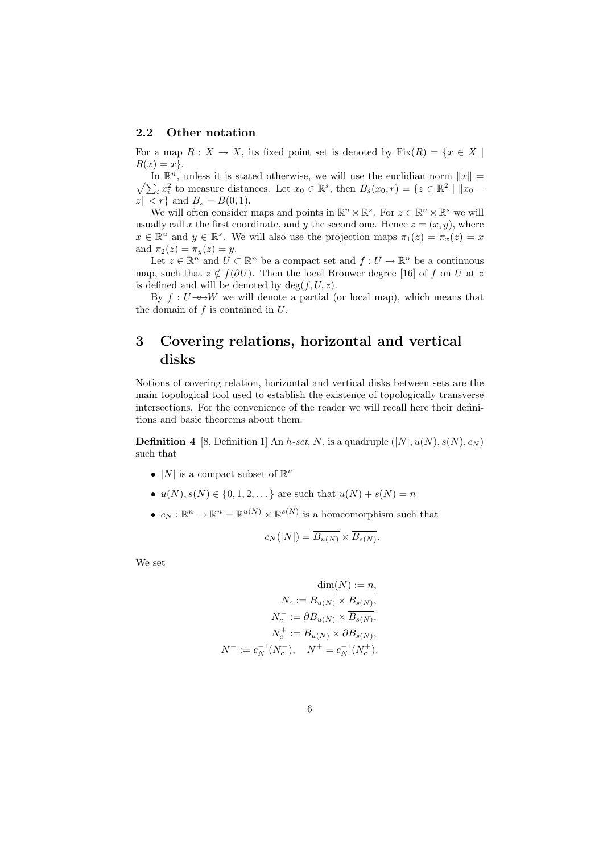#### 2.2 Other notation

For a map  $R: X \to X$ , its fixed point set is denoted by  $Fix(R) = \{x \in X \mid$  $R(x) = x$ .

In  $\mathbb{R}^n$ , unless it is stated otherwise, we will use the euclidian norm  $||x|| =$  $\frac{1}{i}x_i^2$  to measure distances. Let  $x_0 \in \mathbb{R}^s$ , then  $B_s(x_0, r) = \{z \in \mathbb{R}^2 \mid ||x_0 - x|| \leq r \}$  $|z| < r$  and  $B_s = B(0, 1)$ .

We will often consider maps and points in  $\mathbb{R}^u \times \mathbb{R}^s$ . For  $z \in \mathbb{R}^u \times \mathbb{R}^s$  we will usually call x the first coordinate, and y the second one. Hence  $z = (x, y)$ , where  $x \in \mathbb{R}^u$  and  $y \in \mathbb{R}^s$ . We will also use the projection maps  $\pi_1(z) = \pi_x(z) = x$ and  $\pi_2(z) = \pi_y(z) = y$ .

Let  $z \in \mathbb{R}^n$  and  $U \subset \mathbb{R}^n$  be a compact set and  $f: U \to \mathbb{R}^n$  be a continuous map, such that  $z \notin f(\partial U)$ . Then the local Brouwer degree [16] of f on U at z is defined and will be denoted by  $deg(f, U, z)$ .

By  $f: U \rightarrow W$  we will denote a partial (or local map), which means that the domain of  $f$  is contained in  $U$ .

## 3 Covering relations, horizontal and vertical disks

Notions of covering relation, horizontal and vertical disks between sets are the main topological tool used to establish the existence of topologically transverse intersections. For the convenience of the reader we will recall here their definitions and basic theorems about them.

**Definition 4** [8, Definition 1] An h-set, N, is a quadruple  $(|N|, u(N), s(N), c_N)$ such that

- |N| is a compact subset of  $\mathbb{R}^n$
- $u(N), s(N) \in \{0, 1, 2, \dots\}$  are such that  $u(N) + s(N) = n$
- $c_N : \mathbb{R}^n \to \mathbb{R}^n = \mathbb{R}^{u(N)} \times \mathbb{R}^{s(N)}$  is a homeomorphism such that

$$
c_N(|N|) = \overline{B_{u(N)}} \times \overline{B_{s(N)}}.
$$

We set

$$
\dim(N) := n,
$$
  
\n
$$
N_c := \overline{B_{u(N)}} \times \overline{B_{s(N)}},
$$
  
\n
$$
N_c^- := \partial B_{u(N)} \times \overline{B_{s(N)}},
$$
  
\n
$$
N_c^+ := \overline{B_{u(N)}} \times \partial B_{s(N)},
$$
  
\n
$$
N^- := c_N^{-1}(N_c^-), \quad N^+ = c_N^{-1}(N_c^+).
$$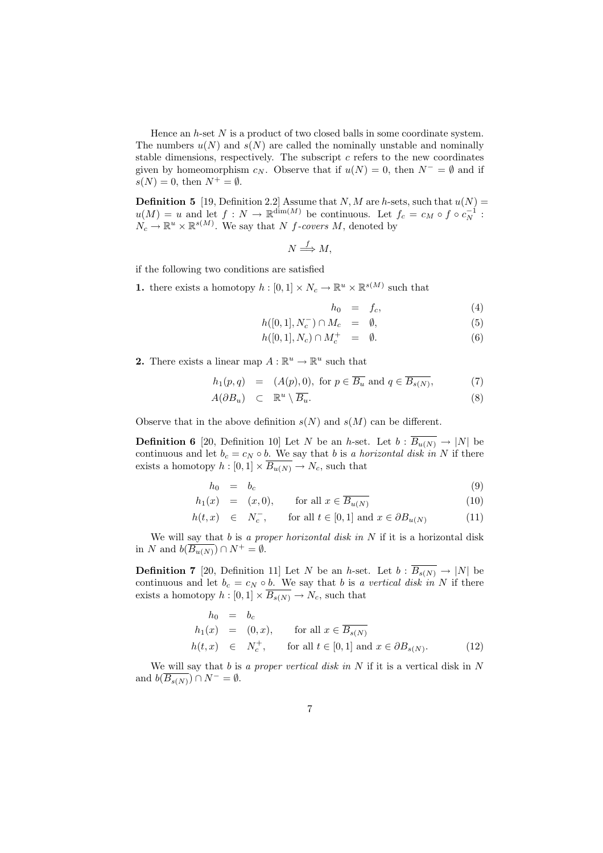Hence an  $h$ -set  $N$  is a product of two closed balls in some coordinate system. The numbers  $u(N)$  and  $s(N)$  are called the nominally unstable and nominally stable dimensions, respectively. The subscript  $c$  refers to the new coordinates given by homeomorphism  $c_N$ . Observe that if  $u(N) = 0$ , then  $N^- = \emptyset$  and if  $s(N) = 0$ , then  $N^+ = \emptyset$ .

**Definition 5** [19, Definition 2.2] Assume that  $N, M$  are h-sets, such that  $u(N) =$  $u(M) = u$  and let  $f: N \to \mathbb{R}^{\dim(M)}$  be continuous. Let  $f_c = c_M \circ f \circ c_N^{-1}$ :  $N_c \to \mathbb{R}^u \times \mathbb{R}^{s(M)}$ . We say that N f-covers M, denoted by

$$
N \stackrel{f}{\Longrightarrow} M,
$$

if the following two conditions are satisfied

**1.** there exists a homotopy  $h: [0,1] \times N_c \to \mathbb{R}^u \times \mathbb{R}^{s(M)}$  such that

$$
h_0 = f_c,\t\t(4)
$$

$$
h([0,1], N_c^-) \cap M_c = \emptyset, \tag{5}
$$

$$
h([0,1], N_c) \cap M_c^+ = \emptyset. \tag{6}
$$

**2.** There exists a linear map  $A : \mathbb{R}^u \to \mathbb{R}^u$  such that

$$
h_1(p,q) = (A(p),0), \text{ for } p \in \overline{B_u} \text{ and } q \in \overline{B_{s(N)}}, \tag{7}
$$

$$
A(\partial B_u) \quad \subset \quad \mathbb{R}^u \setminus \overline{B_u}.\tag{8}
$$

Observe that in the above definition  $s(N)$  and  $s(M)$  can be different.

**Definition 6** [20, Definition 10] Let N be an h-set. Let  $b : \overline{B_{u(N)}} \to |N|$  be continuous and let  $b_c = c_N \circ b$ . We say that b is a horizontal disk in N if there exists a homotopy  $h : [0,1] \times \overline{B_{u(N)}} \to N_c$ , such that

$$
h_0 = b_c \tag{9}
$$

$$
h_1(x) = (x, 0), \quad \text{for all } x \in \overline{B_{u(N)}} \tag{10}
$$

$$
h(t, x) \in N_c^-, \quad \text{for all } t \in [0, 1] \text{ and } x \in \partial B_{u(N)} \tag{11}
$$

We will say that  $b$  is a proper horizontal disk in  $N$  if it is a horizontal disk in N and  $b(\overline{B_{u(N)}}) \cap N^+ = \emptyset$ .

**Definition 7** [20, Definition 11] Let N be an h-set. Let  $b : \overline{B_{s(N)}} \to |N|$  be continuous and let  $b_c = c_N \circ b$ . We say that b is a vertical disk in N if there exists a homotopy  $h : [0,1] \times \overline{B_{s(N)}} \to N_c$ , such that

$$
h_0 = b_c
$$
  
\n
$$
h_1(x) = (0, x), \quad \text{for all } x \in \overline{B_{s(N)}}
$$
  
\n
$$
h(t, x) \in N_c^+, \quad \text{for all } t \in [0, 1] \text{ and } x \in \partial B_{s(N)}.
$$
 (12)

We will say that  $b$  is a proper vertical disk in  $N$  if it is a vertical disk in  $N$ and  $b(\overline{B_{s(N)}}) \cap N^- = \emptyset$ .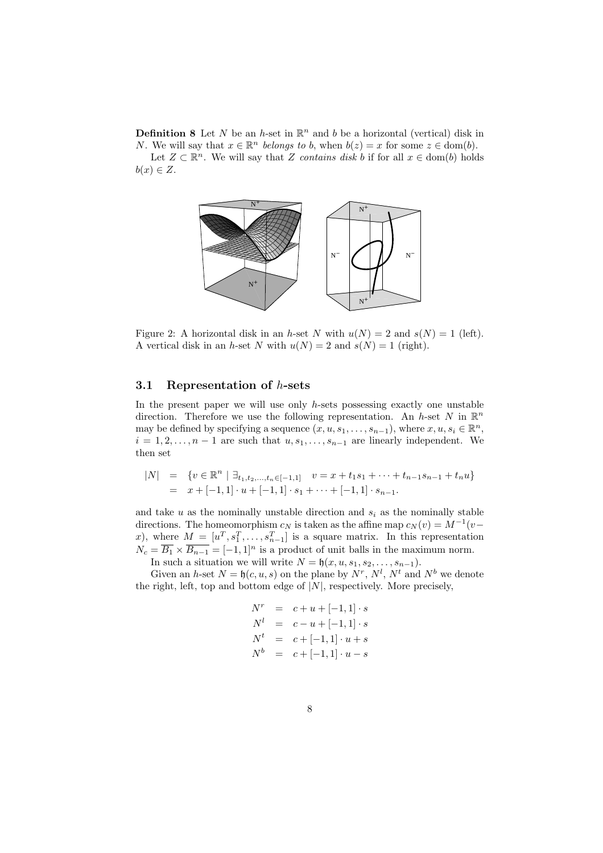**Definition 8** Let N be an h-set in  $\mathbb{R}^n$  and b be a horizontal (vertical) disk in *N*. We will say that  $x \in \mathbb{R}^n$  belongs to b, when  $b(z) = x$  for some  $z \in \text{dom}(b)$ . Let  $Z \subset \mathbb{R}^n$ . We will say that Z contains disk b if for all  $x \in \text{dom}(b)$  holds  $b(x) \in Z$ .



Figure 2: A horizontal disk in an h-set N with  $u(N) = 2$  and  $s(N) = 1$  (left). A vertical disk in an h-set N with  $u(N) = 2$  and  $s(N) = 1$  (right).

#### 3.1 Representation of h-sets

In the present paper we will use only  $h$ -sets possessing exactly one unstable direction. Therefore we use the following representation. An h-set N in  $\mathbb{R}^n$ may be defined by specifying a sequence  $(x, u, s_1, \ldots, s_{n-1})$ , where  $x, u, s_i \in \mathbb{R}^n$ ,  $i = 1, 2, \ldots, n - 1$  are such that  $u, s_1, \ldots, s_{n-1}$  are linearly independent. We then set

$$
|N| = \{v \in \mathbb{R}^n \mid \exists_{t_1, t_2, ..., t_n \in [-1, 1]} v = x + t_1 s_1 + \dots + t_{n-1} s_{n-1} + t_n u\}
$$
  
=  $x + [-1, 1] \cdot u + [-1, 1] \cdot s_1 + \dots + [-1, 1] \cdot s_{n-1}.$ 

and take  $u$  as the nominally unstable direction and  $s_i$  as the nominally stable directions. The homeomorphism  $c_N$  is taken as the affine map  $c_N(v) = M^{-1}(v$ x), where  $M = [u^T, s_1^T, \ldots, s_{n-1}^T]$  is a square matrix. In this representation  $N_c = \overline{B_1} \times \overline{B_{n-1}} = [-1,1]^n$  is a product of unit balls in the maximum norm. In such a situation we will write  $N = \mathfrak{h}(x, u, s_1, s_2, \ldots, s_{n-1}).$ 

Given an h-set  $N = \mathfrak{h}(c, u, s)$  on the plane by  $N^r$ ,  $N^l$ ,  $N^t$  and  $N^b$  we denote the right, left, top and bottom edge of  $|N|$ , respectively. More precisely,

$$
N^{r} = c + u + [-1, 1] \cdot s
$$
  
\n
$$
N^{l} = c - u + [-1, 1] \cdot s
$$
  
\n
$$
N^{t} = c + [-1, 1] \cdot u + s
$$
  
\n
$$
N^{b} = c + [-1, 1] \cdot u - s
$$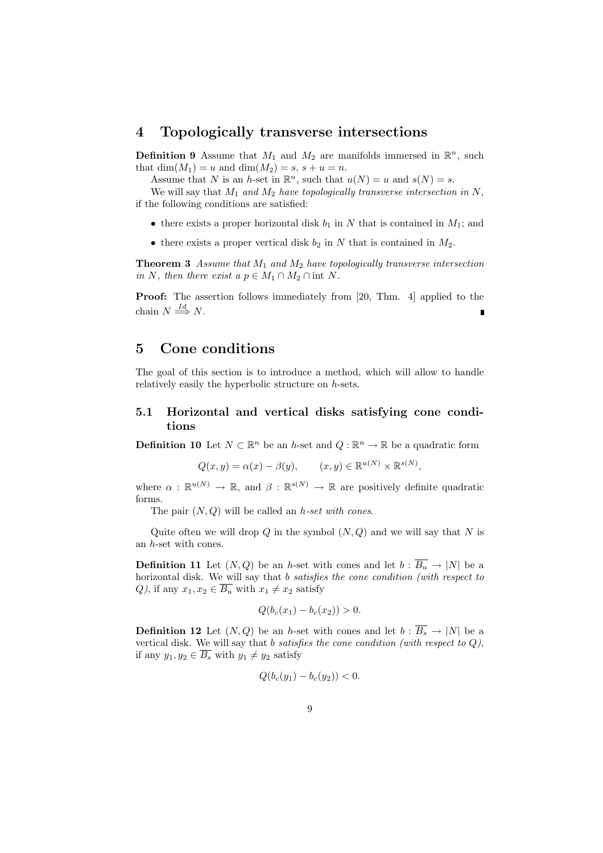#### 4 Topologically transverse intersections

**Definition 9** Assume that  $M_1$  and  $M_2$  are manifolds immersed in  $\mathbb{R}^n$ , such that  $\dim(M_1) = u$  and  $\dim(M_2) = s, s + u = n$ .

Assume that N is an h-set in  $\mathbb{R}^n$ , such that  $u(N) = u$  and  $s(N) = s$ .

We will say that  $M_1$  and  $M_2$  have topologically transverse intersection in N, if the following conditions are satisfied:

- there exists a proper horizontal disk  $b_1$  in N that is contained in  $M_1$ ; and
- there exists a proper vertical disk  $b_2$  in N that is contained in  $M_2$ .

**Theorem 3** Assume that  $M_1$  and  $M_2$  have topologically transverse intersection in N, then there exist a  $p \in M_1 \cap M_2 \cap \text{int } N$ .

Proof: The assertion follows immediately from [20, Thm. 4] applied to the chain  $N \stackrel{Id}{\Longrightarrow} N$ .

## 5 Cone conditions

The goal of this section is to introduce a method, which will allow to handle relatively easily the hyperbolic structure on h-sets.

#### 5.1 Horizontal and vertical disks satisfying cone conditions

**Definition 10** Let  $N \subset \mathbb{R}^n$  be an h-set and  $Q : \mathbb{R}^n \to \mathbb{R}$  be a quadratic form

$$
Q(x, y) = \alpha(x) - \beta(y), \qquad (x, y) \in \mathbb{R}^{u(N)} \times \mathbb{R}^{s(N)},
$$

where  $\alpha : \mathbb{R}^{u(N)} \to \mathbb{R}$ , and  $\beta : \mathbb{R}^{s(N)} \to \mathbb{R}$  are positively definite quadratic forms.

The pair  $(N, Q)$  will be called an *h-set with cones*.

Quite often we will drop  $Q$  in the symbol  $(N, Q)$  and we will say that N is an h-set with cones.

**Definition 11** Let  $(N, Q)$  be an h-set with cones and let  $b : \overline{B_u} \to |N|$  be a horizontal disk. We will say that b satisfies the cone condition (with respect to Q), if any  $x_1, x_2 \in \overline{B_u}$  with  $x_1 \neq x_2$  satisfy

$$
Q(b_c(x_1) - b_c(x_2)) > 0.
$$

**Definition 12** Let  $(N, Q)$  be an h-set with cones and let  $b : \overline{B_s} \to |N|$  be a vertical disk. We will say that b satisfies the cone condition (with respect to  $Q$ ), if any  $y_1, y_2 \in \overline{B_s}$  with  $y_1 \neq y_2$  satisfy

$$
Q(b_c(y_1) - b_c(y_2)) < 0.
$$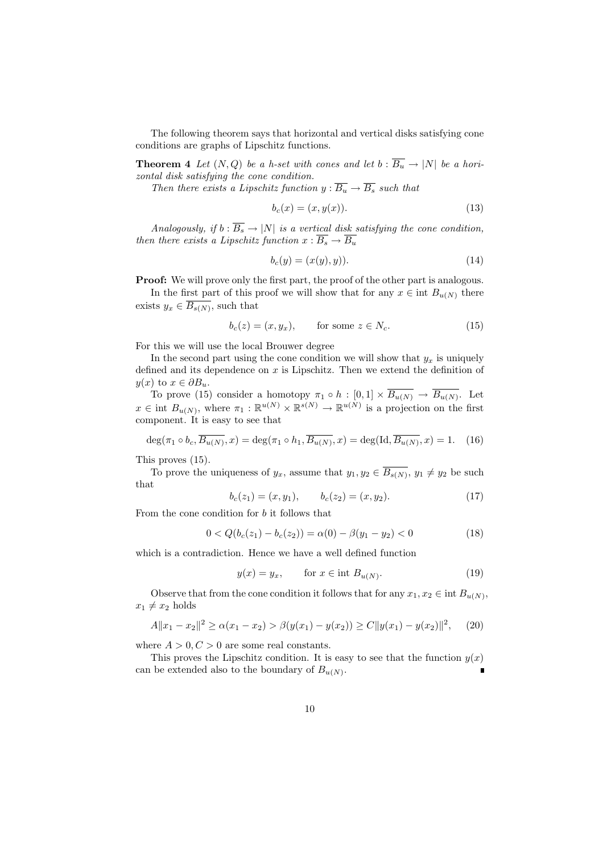The following theorem says that horizontal and vertical disks satisfying cone conditions are graphs of Lipschitz functions.

**Theorem 4** Let  $(N, Q)$  be a h-set with cones and let  $b : \overline{B_u} \to |N|$  be a horizontal disk satisfying the cone condition.

Then there exists a Lipschitz function  $y : \overline{B_u} \to \overline{B_s}$  such that

$$
b_c(x) = (x, y(x)).
$$
\n<sup>(13)</sup>

Analogously, if  $b : \overline{B_s} \to |N|$  is a vertical disk satisfying the cone condition, then there exists a Lipschitz function  $x : \overline{B_s} \to \overline{B_u}$ 

$$
b_c(y) = (x(y), y)).
$$
\n(14)

**Proof:** We will prove only the first part, the proof of the other part is analogous.

In the first part of this proof we will show that for any  $x \in \text{int } B_{u(N)}$  there exists  $y_x \in \overline{B_{s(N)}}$ , such that

$$
b_c(z) = (x, y_x), \qquad \text{for some } z \in N_c. \tag{15}
$$

For this we will use the local Brouwer degree

In the second part using the cone condition we will show that  $y_x$  is uniquely defined and its dependence on  $x$  is Lipschitz. Then we extend the definition of  $y(x)$  to  $x \in \partial B_u$ .

To prove (15) consider a homotopy  $\pi_1 \circ h : [0,1] \times \overline{B_{u(N)}} \to \overline{B_{u(N)}}$ . Let  $x \in \text{int } B_{u(N)}$ , where  $\pi_1 : \mathbb{R}^{u(N)} \times \mathbb{R}^{s(N)} \to \mathbb{R}^{u(N)}$  is a projection on the first component. It is easy to see that

$$
\deg(\pi_1 \circ b_c, \overline{B_{u(N)}}, x) = \deg(\pi_1 \circ h_1, \overline{B_{u(N)}}, x) = \deg(\operatorname{Id}, \overline{B_{u(N)}}, x) = 1. \tag{16}
$$

This proves (15).

To prove the uniqueness of  $y_x$ , assume that  $y_1, y_2 \in \overline{B_{s(N)}}, y_1 \neq y_2$  be such that

$$
b_c(z_1) = (x, y_1), \qquad b_c(z_2) = (x, y_2). \tag{17}
$$

From the cone condition for  $b$  it follows that

$$
0 < Q(b_c(z_1) - b_c(z_2)) = \alpha(0) - \beta(y_1 - y_2) < 0 \tag{18}
$$

which is a contradiction. Hence we have a well defined function

$$
y(x) = y_x, \qquad \text{for } x \in \text{int } B_{u(N)}.
$$
 (19)

Observe that from the cone condition it follows that for any  $x_1, x_2 \in \text{int } B_{u(N)}$ ,  $x_1 \neq x_2$  holds

$$
A||x_1 - x_2||^2 \ge \alpha(x_1 - x_2) > \beta(y(x_1) - y(x_2)) \ge C||y(x_1) - y(x_2)||^2, \quad (20)
$$

where  $A > 0, C > 0$  are some real constants.

This proves the Lipschitz condition. It is easy to see that the function  $y(x)$ can be extended also to the boundary of  $B_{u(N)}$ .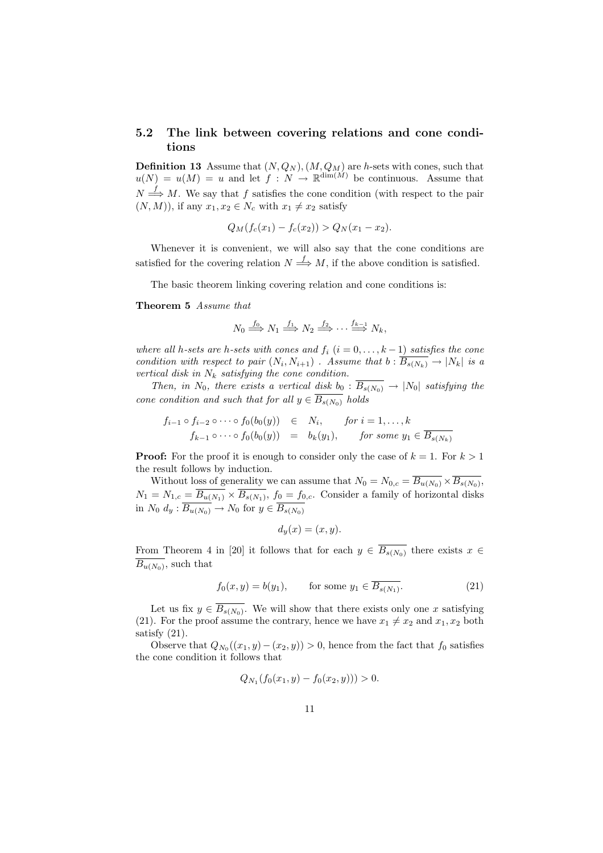#### 5.2 The link between covering relations and cone conditions

**Definition 13** Assume that  $(N, Q_N)$ ,  $(M, Q_M)$  are h-sets with cones, such that  $u(N) = u(M) = u$  and let  $f: N \to \mathbb{R}^{\dim(M)}$  be continuous. Assume that  $N \stackrel{f}{\Longrightarrow} M$ . We say that f satisfies the cone condition (with respect to the pair  $(N, M)$ , if any  $x_1, x_2 \in N_c$  with  $x_1 \neq x_2$  satisfy

$$
Q_M(f_c(x_1) - f_c(x_2)) > Q_N(x_1 - x_2).
$$

Whenever it is convenient, we will also say that the cone conditions are satisfied for the covering relation  $N \stackrel{f}{\Longrightarrow} M$ , if the above condition is satisfied.

The basic theorem linking covering relation and cone conditions is:

Theorem 5 Assume that

$$
N_0 \stackrel{f_0}{\Longrightarrow} N_1 \stackrel{f_1}{\Longrightarrow} N_2 \stackrel{f_2}{\Longrightarrow} \cdots \stackrel{f_{k-1}}{\Longrightarrow} N_k,
$$

where all h-sets are h-sets with cones and  $f_i$   $(i = 0, \ldots, k-1)$  satisfies the cone condition with respect to pair  $(N_i, N_{i+1})$ . Assume that  $b : \overline{B_{s(N_k)}} \to |N_k|$  is a vertical disk in  $N_k$  satisfying the cone condition.

Then, in  $N_0$ , there exists a vertical disk  $b_0 : \overline{B_{s(N_0)}} \to |N_0|$  satisfying the cone condition and such that for all  $y \in \overline{B_{s(N_0)}}$  holds

$$
f_{i-1} \circ f_{i-2} \circ \cdots \circ f_0(b_0(y)) \in N_i, \quad \text{for } i = 1, \ldots, k
$$
  

$$
f_{k-1} \circ \cdots \circ f_0(b_0(y)) = b_k(y_1), \quad \text{for some } y_1 \in \overline{B_{s(N_k)}}
$$

**Proof:** For the proof it is enough to consider only the case of  $k = 1$ . For  $k > 1$ the result follows by induction.

Without loss of generality we can assume that  $N_0 = N_{0,c} = \overline{B_{u(N_0)}} \times \overline{B_{s(N_0)}},$  $N_1 = N_{1,c} = \overline{B_{u(N_1)} \times \overline{B_{s(N_1)}}}, f_0 = f_{0,c}$ . Consider a family of horizontal disks in  $N_0$   $d_y$  :  $\overline{B_{u(N_0)}} \rightarrow N_0$  for  $y \in \overline{B_{s(N_0)}}$ 

$$
d_y(x) = (x, y).
$$

From Theorem 4 in [20] it follows that for each  $y \in \overline{B_{s(N_0)}}$  there exists  $x \in$  $\overline{B_{u(N_0)}},$  such that

$$
f_0(x, y) = b(y_1), \qquad \text{for some } y_1 \in \overline{B_{s(N_1)}}. \tag{21}
$$

Let us fix  $y \in \overline{B_{s(N_0)}}$ . We will show that there exists only one x satisfying (21). For the proof assume the contrary, hence we have  $x_1 \neq x_2$  and  $x_1, x_2$  both satisfy (21).

Observe that  $Q_{N_0}((x_1, y) - (x_2, y)) > 0$ , hence from the fact that  $f_0$  satisfies the cone condition it follows that

$$
Q_{N_1}(f_0(x_1, y) - f_0(x_2, y))) > 0.
$$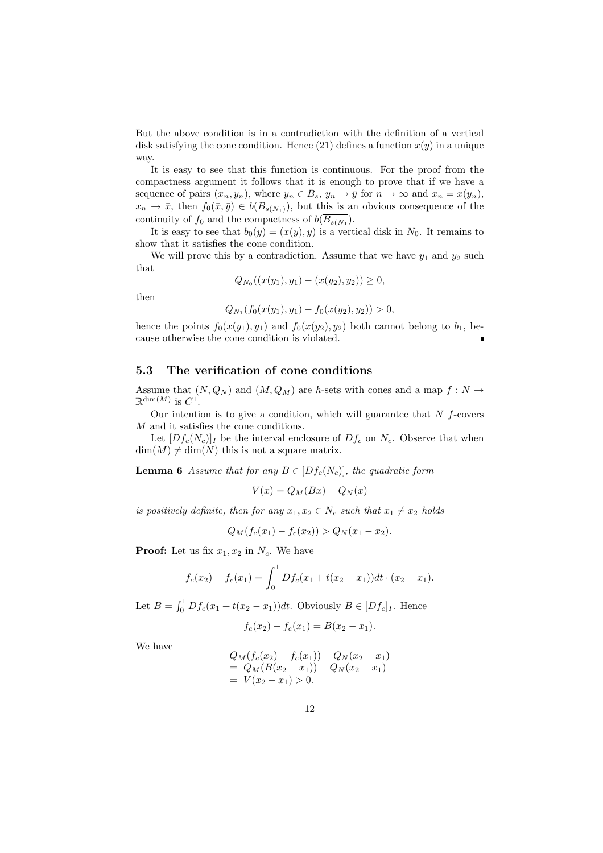But the above condition is in a contradiction with the definition of a vertical disk satisfying the cone condition. Hence (21) defines a function  $x(y)$  in a unique way.

It is easy to see that this function is continuous. For the proof from the compactness argument it follows that it is enough to prove that if we have a sequence of pairs  $(x_n, y_n)$ , where  $y_n \in \overline{B_s}$ ,  $y_n \to \overline{y}$  for  $n \to \infty$  and  $x_n = x(y_n)$ ,  $x_n \to \bar{x}$ , then  $f_0(\bar{x}, \bar{y}) \in b(\overline{B_{s(N_1)}})$ , but this is an obvious consequence of the continuity of  $f_0$  and the compactness of  $b(\overline{B_{s(N_1)}})$ .

It is easy to see that  $b_0(y) = (x(y), y)$  is a vertical disk in  $N_0$ . It remains to show that it satisfies the cone condition.

We will prove this by a contradiction. Assume that we have  $y_1$  and  $y_2$  such that

$$
Q_{N_0}((x(y_1), y_1) - (x(y_2), y_2)) \ge 0,
$$

then

$$
Q_{N_1}(f_0(x(y_1), y_1) - f_0(x(y_2), y_2)) > 0,
$$

hence the points  $f_0(x(y_1), y_1)$  and  $f_0(x(y_2), y_2)$  both cannot belong to  $b_1$ , because otherwise the cone condition is violated.

#### 5.3 The verification of cone conditions

Assume that  $(N, Q_N)$  and  $(M, Q_M)$  are h-sets with cones and a map  $f : N \to$  $\mathbb{R}^{\dim(M)}$  is  $C^1$ .

Our intention is to give a condition, which will guarantee that  $N$  f-covers M and it satisfies the cone conditions.

Let  $[Df_c(N_c)]_I$  be the interval enclosure of  $Df_c$  on  $N_c$ . Observe that when  $\dim(M) \neq \dim(N)$  this is not a square matrix.

**Lemma 6** Assume that for any  $B \in [Df_c(N_c)]$ , the quadratic form

$$
V(x) = Q_M(Bx) - Q_N(x)
$$

is positively definite, then for any  $x_1, x_2 \in N_c$  such that  $x_1 \neq x_2$  holds

$$
Q_M(f_c(x_1) - f_c(x_2)) > Q_N(x_1 - x_2).
$$

**Proof:** Let us fix  $x_1, x_2$  in  $N_c$ . We have

$$
f_c(x_2) - f_c(x_1) = \int_0^1 Df_c(x_1 + t(x_2 - x_1))dt \cdot (x_2 - x_1).
$$

Let  $B = \int_0^1$  $\int_0^1 Df_c(x_1 + t(x_2 - x_1))dt$ . Obviously  $B \in [Df_c]_I$ . Hence

$$
f_c(x_2) - f_c(x_1) = B(x_2 - x_1).
$$

We have

$$
Q_M(f_c(x_2) - f_c(x_1)) - Q_N(x_2 - x_1)
$$
  
=  $Q_M(B(x_2 - x_1)) - Q_N(x_2 - x_1)$   
=  $V(x_2 - x_1) > 0$ .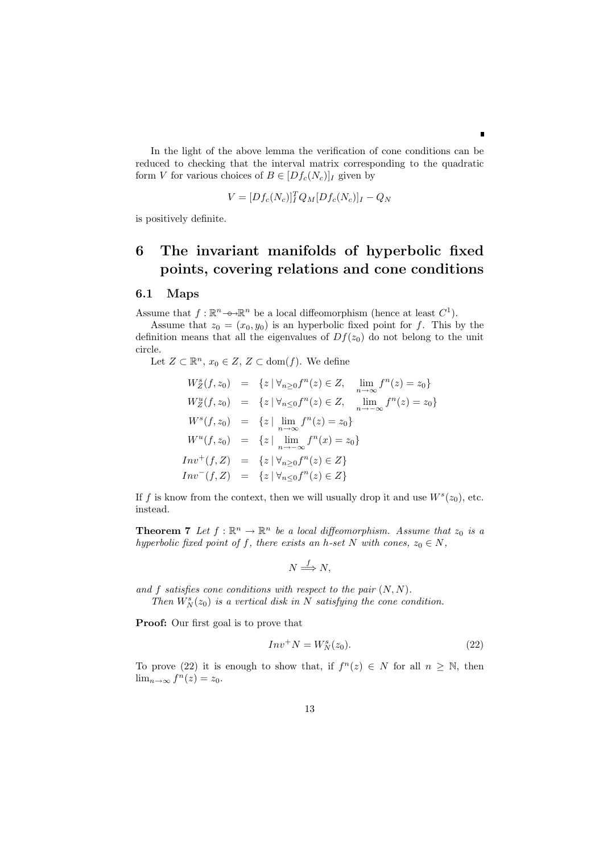In the light of the above lemma the verification of cone conditions can be reduced to checking that the interval matrix corresponding to the quadratic form V for various choices of  $B \in [Df_c(N_c)]_I$  given by

п

$$
V = [Df_c(N_c)]_I^T Q_M [Df_c(N_c)]_I - Q_N
$$

is positively definite.

## 6 The invariant manifolds of hyperbolic fixed points, covering relations and cone conditions

#### 6.1 Maps

Assume that  $f: \mathbb{R}^n \to \mathbb{R}^n$  be a local diffeomorphism (hence at least  $C^1$ ).

Assume that  $z_0 = (x_0, y_0)$  is an hyperbolic fixed point for f. This by the definition means that all the eigenvalues of  $Df(z_0)$  do not belong to the unit circle.

Let  $Z \subset \mathbb{R}^n$ ,  $x_0 \in Z$ ,  $Z \subset \text{dom}(f)$ . We define

$$
W_Z^s(f, z_0) = \{ z \mid \forall_{n \ge 0} f^n(z) \in Z, \lim_{n \to \infty} f^n(z) = z_0 \}
$$
  
\n
$$
W_Z^u(f, z_0) = \{ z \mid \forall_{n \le 0} f^n(z) \in Z, \lim_{n \to \infty} f^n(z) = z_0 \}
$$
  
\n
$$
W^s(f, z_0) = \{ z \mid \lim_{n \to \infty} f^n(z) = z_0 \}
$$
  
\n
$$
W^u(f, z_0) = \{ z \mid \lim_{n \to \infty} f^n(x) = z_0 \}
$$
  
\n
$$
Inv^+(f, Z) = \{ z \mid \forall_{n \ge 0} f^n(z) \in Z \}
$$
  
\n
$$
Inv^-(f, Z) = \{ z \mid \forall_{n \le 0} f^n(z) \in Z \}
$$

If f is know from the context, then we will usually drop it and use  $W<sup>s</sup>(z<sub>0</sub>)$ , etc. instead.

**Theorem 7** Let  $f : \mathbb{R}^n \to \mathbb{R}^n$  be a local diffeomorphism. Assume that  $z_0$  is a hyperbolic fixed point of f, there exists an h-set N with cones,  $z_0 \in N$ ,

$$
N \xrightarrow{f} N,
$$

and f satisfies cone conditions with respect to the pair  $(N, N)$ . Then  $W_N^s(z_0)$  is a vertical disk in N satisfying the cone condition.

Proof: Our first goal is to prove that

$$
Inv^+N = W_N^s(z_0). \tag{22}
$$

To prove (22) it is enough to show that, if  $f^{(n)}(z) \in N$  for all  $n \geq \mathbb{N}$ , then  $\lim_{n\to\infty} f^n(z) = z_0.$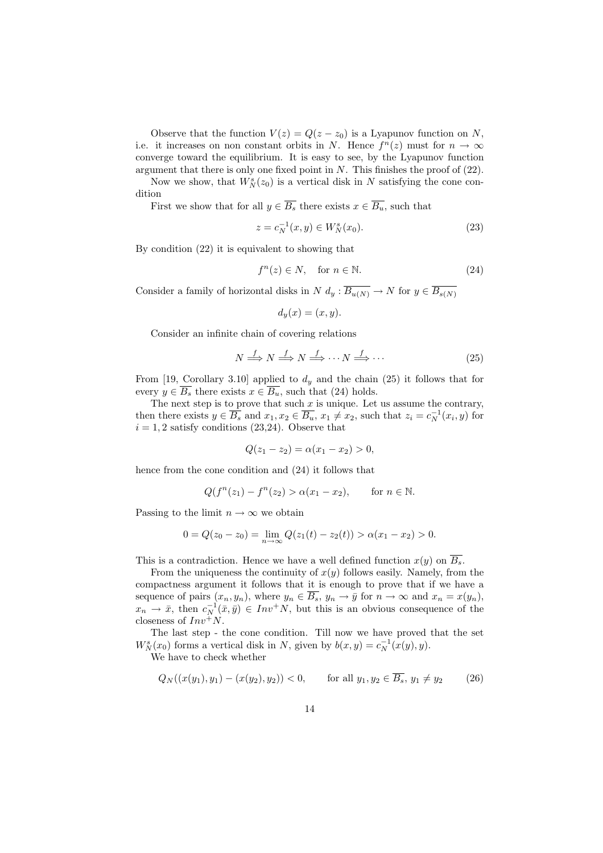Observe that the function  $V(z) = Q(z - z_0)$  is a Lyapunov function on N, i.e. it increases on non constant orbits in N. Hence  $f^{(n)}(z)$  must for  $n \to \infty$ converge toward the equilibrium. It is easy to see, by the Lyapunov function argument that there is only one fixed point in  $N$ . This finishes the proof of  $(22)$ .

Now we show, that  $W_N^s(z_0)$  is a vertical disk in N satisfying the cone condition

First we show that for all  $y \in \overline{B_s}$  there exists  $x \in \overline{B_u}$ , such that

$$
z = c_N^{-1}(x, y) \in W_N^s(x_0). \tag{23}
$$

By condition (22) it is equivalent to showing that

$$
f^{n}(z) \in N, \quad \text{for } n \in \mathbb{N}.
$$
 (24)

Consider a family of horizontal disks in  $N d_y : \overline{B_{u(N)}} \to N$  for  $y \in \overline{B_{s(N)}}$ 

$$
d_y(x) = (x, y).
$$

Consider an infinite chain of covering relations

$$
N \stackrel{f}{\Longrightarrow} N \stackrel{f}{\Longrightarrow} N \stackrel{f}{\Longrightarrow} \cdots N \stackrel{f}{\Longrightarrow} \cdots \tag{25}
$$

From [19, Corollary 3.10] applied to  $d_y$  and the chain (25) it follows that for every  $y \in \overline{B_s}$  there exists  $x \in \overline{B_u}$ , such that (24) holds.

The next step is to prove that such  $x$  is unique. Let us assume the contrary, then there exists  $y \in \overline{B_s}$  and  $x_1, x_2 \in \overline{B_u}$ ,  $x_1 \neq x_2$ , such that  $z_i = c_N^{-1}(x_i, y)$  for  $i = 1, 2$  satisfy conditions (23,24). Observe that

$$
Q(z_1 - z_2) = \alpha(x_1 - x_2) > 0,
$$

hence from the cone condition and (24) it follows that

$$
Q(f^{n}(z_1) - f^{n}(z_2) > \alpha(x_1 - x_2), \quad \text{for } n \in \mathbb{N}.
$$

Passing to the limit  $n \to \infty$  we obtain

$$
0 = Q(z_0 - z_0) = \lim_{n \to \infty} Q(z_1(t) - z_2(t)) > \alpha(x_1 - x_2) > 0.
$$

This is a contradiction. Hence we have a well defined function  $x(y)$  on  $\overline{B_s}$ .

From the uniqueness the continuity of  $x(y)$  follows easily. Namely, from the compactness argument it follows that it is enough to prove that if we have a sequence of pairs  $(x_n, y_n)$ , where  $y_n \in \overline{B_s}$ ,  $y_n \to \overline{y}$  for  $n \to \infty$  and  $x_n = x(y_n)$ ,  $x_n \to \bar{x}$ , then  $c_N^{-1}(\bar{x}, \bar{y}) \in Inv^+N$ , but this is an obvious consequence of the closeness of  $Inv^+N$ .

The last step - the cone condition. Till now we have proved that the set  $W_N^s(x_0)$  forms a vertical disk in N, given by  $b(x,y) = c_N^{-1}(x(y), y)$ .

We have to check whether

$$
Q_N((x(y_1), y_1) - (x(y_2), y_2)) < 0, \qquad \text{for all } y_1, y_2 \in \overline{B_s}, \ y_1 \neq y_2 \tag{26}
$$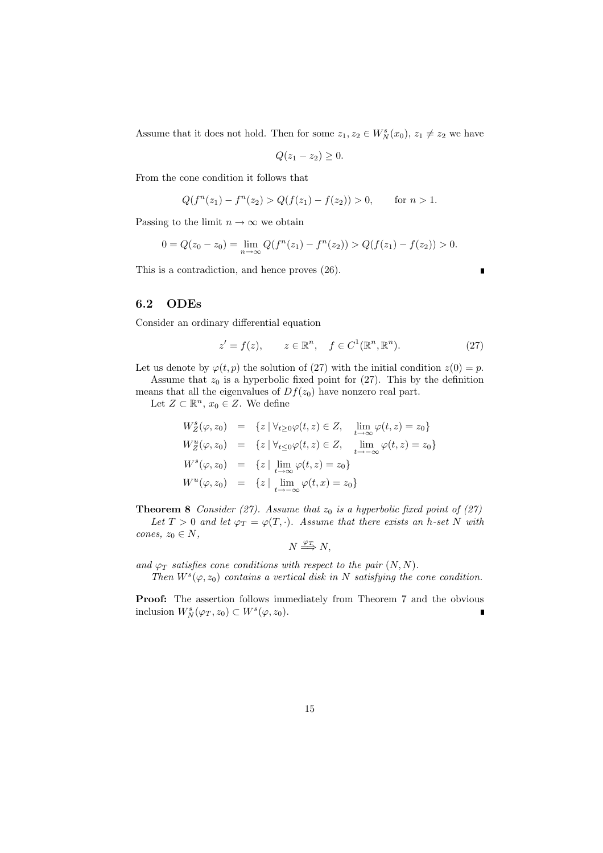Assume that it does not hold. Then for some  $z_1, z_2 \in W_N^s(x_0), z_1 \neq z_2$  we have

$$
Q(z_1-z_2)\geq 0.
$$

From the cone condition it follows that

$$
Q(f^{n}(z_1) - f^{n}(z_2) > Q(f(z_1) - f(z_2)) > 0, \quad \text{for } n > 1.
$$

Passing to the limit  $n\to\infty$  we obtain

$$
0 = Q(z_0 - z_0) = \lim_{n \to \infty} Q(f^n(z_1) - f^n(z_2)) > Q(f(z_1) - f(z_2)) > 0.
$$

This is a contradiction, and hence proves (26).

#### 6.2 ODEs

Consider an ordinary differential equation

$$
z' = f(z), \qquad z \in \mathbb{R}^n, \quad f \in C^1(\mathbb{R}^n, \mathbb{R}^n). \tag{27}
$$

r

Let us denote by  $\varphi(t, p)$  the solution of (27) with the initial condition  $z(0) = p$ .

Assume that  $z_0$  is a hyperbolic fixed point for (27). This by the definition means that all the eigenvalues of  $Df(z_0)$  have nonzero real part.

Let  $Z \subset \mathbb{R}^n$ ,  $x_0 \in Z$ . We define

$$
W_Z^s(\varphi, z_0) = \{z \mid \forall_{t \ge 0} \varphi(t, z) \in Z, \lim_{t \to \infty} \varphi(t, z) = z_0\}
$$
  
\n
$$
W_Z^u(\varphi, z_0) = \{z \mid \forall_{t \le 0} \varphi(t, z) \in Z, \lim_{t \to -\infty} \varphi(t, z) = z_0\}
$$
  
\n
$$
W^s(\varphi, z_0) = \{z \mid \lim_{t \to \infty} \varphi(t, z) = z_0\}
$$
  
\n
$$
W^u(\varphi, z_0) = \{z \mid \lim_{t \to -\infty} \varphi(t, x) = z_0\}
$$

**Theorem 8** Consider (27). Assume that  $z_0$  is a hyperbolic fixed point of (27)

Let  $T > 0$  and let  $\varphi_T = \varphi(T, \cdot)$ . Assume that there exists an h-set N with cones,  $z_0 \in N$ ,

$$
N \stackrel{\varphi_T}{\Longrightarrow} N,
$$

and  $\varphi_T$  satisfies cone conditions with respect to the pair  $(N, N)$ .

Then  $W^{s}(\varphi, z_0)$  contains a vertical disk in N satisfying the cone condition.

Proof: The assertion follows immediately from Theorem 7 and the obvious inclusion  $W_N^s(\varphi_T, z_0) \subset W^s(\varphi, z_0)$ . r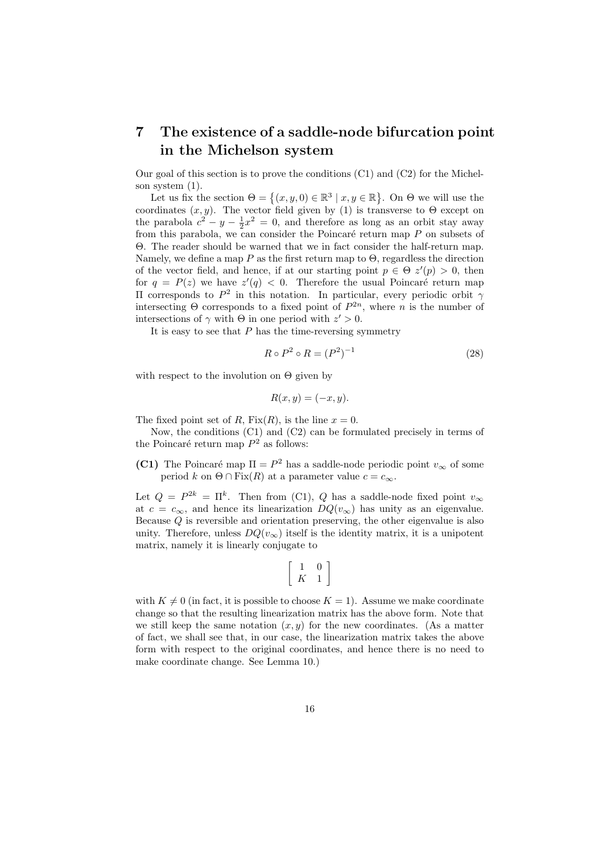## 7 The existence of a saddle-node bifurcation point in the Michelson system

Our goal of this section is to prove the conditions  $(C1)$  and  $(C2)$  for the Michelson system (1). ª

System (1).<br>Let us fix the section  $\Theta = \{(x, y, 0) \in \mathbb{R}^3 \mid x, y \in \mathbb{R}\}$ . On  $\Theta$  we will use the coordinates  $(x, y)$ . The vector field given by (1) is transverse to  $\Theta$  except on the parabola  $c^2 - y - \frac{1}{2}x^2 = 0$ , and therefore as long as an orbit stay away from this parabola, we can consider the Poincaré return map  $P$  on subsets of Θ. The reader should be warned that we in fact consider the half-return map. Namely, we define a map  $P$  as the first return map to  $\Theta$ , regardless the direction of the vector field, and hence, if at our starting point  $p \in \Theta$   $z'(p) > 0$ , then for  $q = P(z)$  we have  $z'(q) < 0$ . Therefore the usual Poincaré return map II corresponds to  $P^2$  in this notation. In particular, every periodic orbit  $γ$ intersecting  $\Theta$  corresponds to a fixed point of  $P^{2n}$ , where *n* is the number of intersections of  $\gamma$  with  $\Theta$  in one period with  $z' > 0$ .

It is easy to see that  $P$  has the time-reversing symmetry

$$
R \circ P^2 \circ R = (P^2)^{-1} \tag{28}
$$

with respect to the involution on  $\Theta$  given by

$$
R(x, y) = (-x, y).
$$

The fixed point set of R,  $Fix(R)$ , is the line  $x = 0$ .

Now, the conditions (C1) and (C2) can be formulated precisely in terms of the Poincaré return map  $P^2$  as follows:

(C1) The Poincaré map  $\Pi = P^2$  has a saddle-node periodic point  $v_{\infty}$  of some period k on  $\Theta \cap \text{Fix}(R)$  at a parameter value  $c = c_{\infty}$ .

Let  $Q = P^{2k} = \Pi^k$ . Then from (C1), Q has a saddle-node fixed point  $v_{\infty}$ at  $c = c_{\infty}$ , and hence its linearization  $DQ(v_{\infty})$  has unity as an eigenvalue. Because Q is reversible and orientation preserving, the other eigenvalue is also unity. Therefore, unless  $DQ(v_{\infty})$  itself is the identity matrix, it is a unipotent matrix, namely it is linearly conjugate to

$$
\left[\begin{array}{cc} 1 & 0 \\ K & 1 \end{array}\right]
$$

with  $K \neq 0$  (in fact, it is possible to choose  $K = 1$ ). Assume we make coordinate change so that the resulting linearization matrix has the above form. Note that we still keep the same notation  $(x, y)$  for the new coordinates. (As a matter of fact, we shall see that, in our case, the linearization matrix takes the above form with respect to the original coordinates, and hence there is no need to make coordinate change. See Lemma 10.)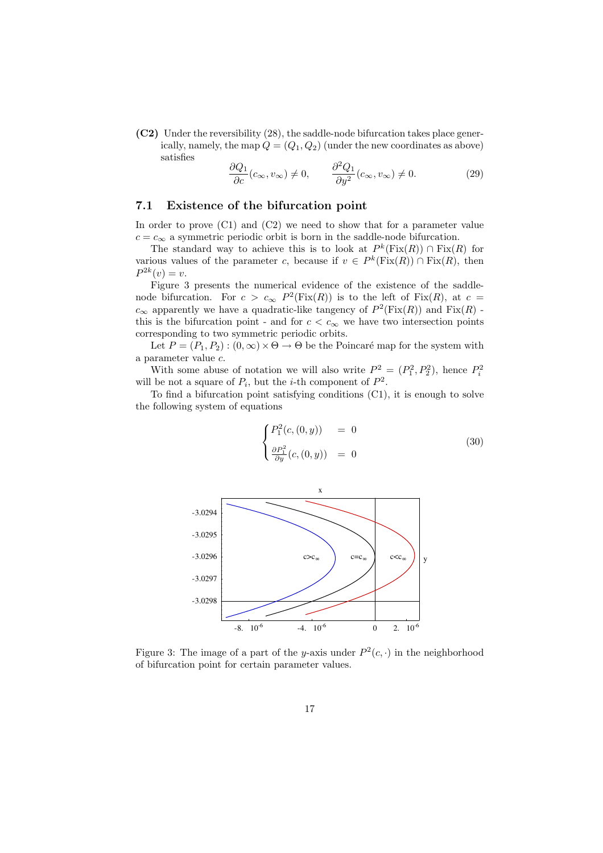$(C2)$  Under the reversibility (28), the saddle-node bifurcation takes place generically, namely, the map  $Q = (Q_1, Q_2)$  (under the new coordinates as above) satisfies

$$
\frac{\partial Q_1}{\partial c}(c_{\infty}, v_{\infty}) \neq 0, \qquad \frac{\partial^2 Q_1}{\partial y^2}(c_{\infty}, v_{\infty}) \neq 0.
$$
 (29)

#### 7.1 Existence of the bifurcation point

In order to prove (C1) and (C2) we need to show that for a parameter value  $c = c_{\infty}$  a symmetric periodic orbit is born in the saddle-node bifurcation.

The standard way to achieve this is to look at  $P^k(\text{Fix}(R)) \cap \text{Fix}(R)$  for various values of the parameter c, because if  $v \in P^k(\text{Fix}(R)) \cap \text{Fix}(R)$ , then  $P^{2k}(v) = v.$ 

Figure 3 presents the numerical evidence of the existence of the saddlenode bifurcation. For  $c > c_{\infty} P^2(Fix(R))$  is to the left of Fix(R), at  $c =$  $c_{\infty}$  apparently we have a quadratic-like tangency of  $P^2(\text{Fix}(R))$  and  $\text{Fix}(R)$  this is the bifurcation point - and for  $c < c_{\infty}$  we have two intersection points corresponding to two symmetric periodic orbits.

Let  $P = (P_1, P_2) : (0, \infty) \times \Theta \to \Theta$  be the Poincaré map for the system with a parameter value c.

With some abuse of notation we will also write  $P^2 = (P_1^2, P_2^2)$ , hence  $P_i^2$ will be not a square of  $P_i$ , but the *i*-th component of  $P^2$ .

To find a bifurcation point satisfying conditions (C1), it is enough to solve the following system of equations

$$
\begin{cases}\nP_1^2(c, (0, y)) &= 0 \\
\frac{\partial P_1^2}{\partial y}(c, (0, y)) &= 0\n\end{cases}
$$
\n(30)



Figure 3: The image of a part of the y-axis under  $P^2(c, \cdot)$  in the neighborhood of bifurcation point for certain parameter values.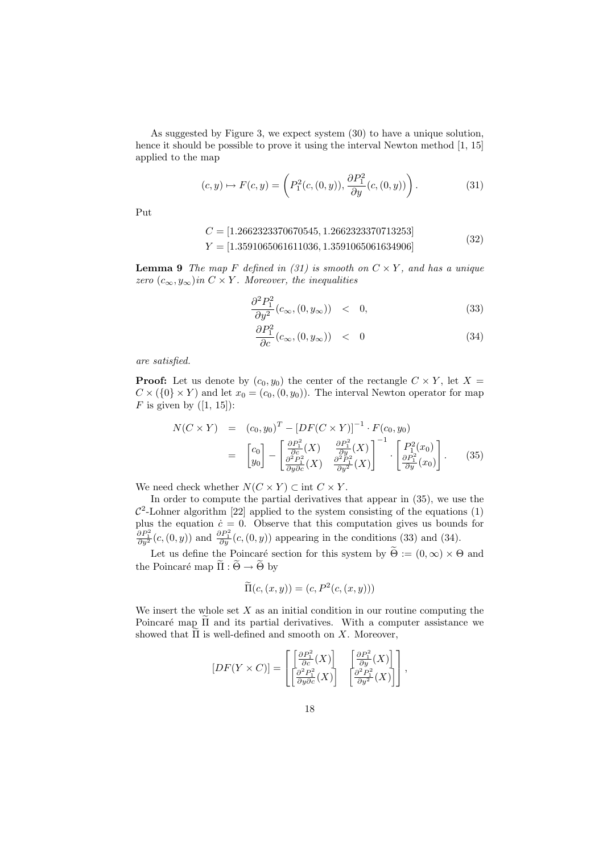As suggested by Figure 3, we expect system (30) to have a unique solution, hence it should be possible to prove it using the interval Newton method  $[1, 15]$ applied to the map

$$
(c, y) \mapsto F(c, y) = \left( P_1^2(c, (0, y)), \frac{\partial P_1^2}{\partial y}(c, (0, y)) \right). \tag{31}
$$

Put

$$
C = [1.2662323370670545, 1.2662323370713253]
$$

 $Y = [1.3591065061611036, 1.3591065061634906]$  (32)

**Lemma 9** The map F defined in (31) is smooth on  $C \times Y$ , and has a unique zero  $(c_{\infty}, y_{\infty})$  in  $C \times Y$ . Moreover, the inequalities

$$
\frac{\partial^2 P_1^2}{\partial y^2}(c_{\infty}, (0, y_{\infty})) \quad < \quad 0,\tag{33}
$$

$$
\frac{\partial P_1^2}{\partial c}(c_{\infty}, (0, y_{\infty})) \quad < \quad 0 \tag{34}
$$

are satisfied.

**Proof:** Let us denote by  $(c_0, y_0)$  the center of the rectangle  $C \times Y$ , let  $X =$  $C \times (\{0\} \times Y)$  and let  $x_0 = (c_0, (0, y_0))$ . The interval Newton operator for map F is given by  $([1, 15])$ :

$$
N(C \times Y) = (c_0, y_0)^T - [DF(C \times Y)]^{-1} \cdot F(c_0, y_0)
$$
  
=  $\begin{bmatrix} c_0 \\ y_0 \end{bmatrix} - \begin{bmatrix} \frac{\partial P_1^2}{\partial c}(X) & \frac{\partial P_1^2}{\partial y}(X) \\ \frac{\partial^2 P_1^2}{\partial y \partial c}(X) & \frac{\partial^2 P_1^2}{\partial y^2}(X) \end{bmatrix}^{-1} \cdot \begin{bmatrix} P_1^2(x_0) \\ \frac{\partial P_1^2}{\partial y}(x_0) \end{bmatrix}.$  (35)

We need check whether  $N(C \times Y) \subset \text{int } C \times Y$ .

In order to compute the partial derivatives that appear in (35), we use the  $\mathcal{C}^2$ -Lohner algorithm [22] applied to the system consisting of the equations (1) plus the equation  $\dot{c} = 0$ . Observe that this computation gives us bounds for  $\frac{\partial P_1^2}{\partial y^2}(c,(0,y))$  and  $\frac{\partial P_1^2}{\partial y}(c,(0,y))$  appearing in the conditions (33) and (34).

Let us define the Poincaré section for this system by  $\widetilde{\Theta} := (0, \infty) \times \Theta$  and the Poincaré map  $\widetilde{\Pi} : \widetilde{\Theta} \to \widetilde{\Theta}$  by

$$
\widetilde{\Pi}(c,(x,y)) = (c, P^2(c,(x,y)))
$$

We insert the whole set  $X$  as an initial condition in our routine computing the Poincaré map  $\Pi$  and its partial derivatives. With a computer assistance we showed that  $\Pi$  is well-defined and smooth on X. Moreover,

$$
[DF(Y \times C)] = \begin{bmatrix} \left[\frac{\partial P_1^2}{\partial c}(X)\right] & \left[\frac{\partial P_1^2}{\partial y}(X)\right] \\ \left[\frac{\partial^2 P_1^2}{\partial y \partial c}(X)\right] & \left[\frac{\partial^2 P_1^2}{\partial y^2}(X)\right] \end{bmatrix},
$$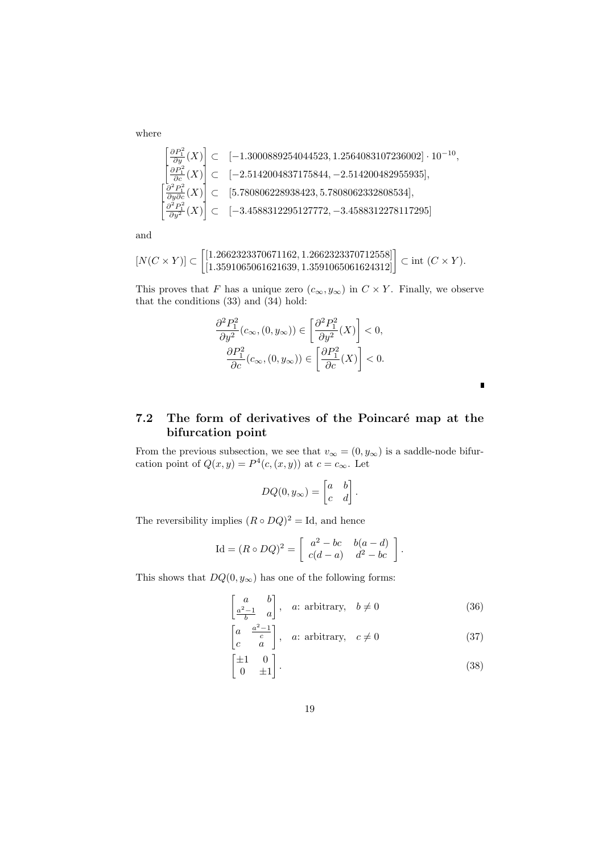where

$$
\begin{bmatrix}\n\frac{\partial P_1^2}{\partial y}(X) \\
\frac{\partial P_1^2}{\partial c}(X)\n\end{bmatrix} \subset [-1.3000889254044523, 1.2564083107236002] \cdot 10^{-10},
$$
\n
$$
\begin{bmatrix}\n\frac{\partial P_1^2}{\partial c}(X) \\
\frac{\partial^2 P_1^2}{\partial y \partial c}(X)\n\end{bmatrix} \subset [5.780806228938423, 5.7808062332808534],
$$
\n
$$
\begin{bmatrix}\n\frac{\partial^2 P_1^2}{\partial y^2}(X) \\
\frac{\partial^2 P_1^2}{\partial y^2}(X)\n\end{bmatrix} \subset [-3.4588312295127772, -3.4588312278117295]
$$

and

$$
[N(C \times Y)] \subset \left[\begin{matrix} [1.2662323370671162, 1.2662323370712558] \\ [1.3591065061621639, 1.3591065061624312] \end{matrix}\right] \subset \text{int } (C \times Y).
$$

This proves that F has a unique zero  $(c_{\infty}, y_{\infty})$  in  $C \times Y$ . Finally, we observe that the conditions (33) and (34) hold:

$$
\dfrac{\partial^2 P_1^2}{\partial y^2}(c_{\infty},(0,y_{\infty})) \in \left[\dfrac{\partial^2 P_1^2}{\partial y^2}(X)\right] < 0, \\ \dfrac{\partial P_1^2}{\partial c}(c_{\infty},(0,y_{\infty})) \in \left[\dfrac{\partial P_1^2}{\partial c}(X)\right] < 0.
$$

7.2 The form of derivatives of the Poincaré map at the bifurcation point

From the previous subsection, we see that  $v_{\infty} = (0, y_{\infty})$  is a saddle-node bifurcation point of  $Q(x, y) = P^4(c, (x, y))$  at  $c = c_{\infty}$ . Let

$$
DQ(0, y_{\infty}) = \begin{bmatrix} a & b \\ c & d \end{bmatrix}.
$$

The reversibility implies  $(R \circ DQ)^2 = \text{Id}$ , and hence

$$
\text{Id} = (R \circ DQ)^2 = \begin{bmatrix} a^2 - bc & b(a - d) \\ c(d - a) & d^2 - bc \end{bmatrix}.
$$

This shows that  $DQ(0, y_{\infty})$  has one of the following forms:

$$
\begin{bmatrix} a & b \ a^{2}-1 & a \end{bmatrix}, \quad a: \text{ arbitrary,} \quad b \neq 0 \tag{36}
$$

 $\blacksquare$ 

$$
\begin{bmatrix} a & a^{2}-1 \ c & a \end{bmatrix}, \quad a: \text{ arbitrary}, \quad c \neq 0 \tag{37}
$$

$$
\begin{bmatrix} \pm 1 & 0 \\ 0 & \pm 1 \end{bmatrix} . \tag{38}
$$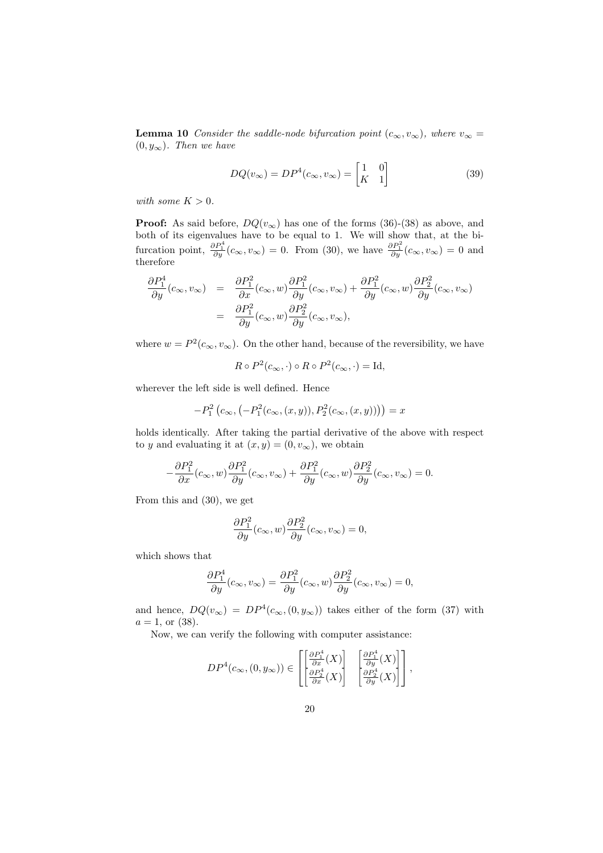**Lemma 10** Consider the saddle-node bifurcation point  $(c_{\infty}, v_{\infty})$ , where  $v_{\infty} =$  $(0, y_{\infty})$ . Then we have

$$
DQ(v_{\infty}) = DP^{4}(c_{\infty}, v_{\infty}) = \begin{bmatrix} 1 & 0\\ K & 1 \end{bmatrix}
$$
 (39)

with some  $K > 0$ .

**Proof:** As said before,  $DQ(v_{\infty})$  has one of the forms (36)-(38) as above, and both of its eigenvalues have to be equal to 1. We will show that, at the bifurcation point,  $\frac{\partial P_1^4}{\partial y}(c_{\infty}, v_{\infty}) = 0$ . From (30), we have  $\frac{\partial P_1^2}{\partial y}(c_{\infty}, v_{\infty}) = 0$  and therefore

$$
\begin{array}{rcl} \displaystyle \frac{\partial P_1^4}{\partial y}(c_{\infty},v_{\infty})&=&\displaystyle \frac{\partial P_1^2}{\partial x}(c_{\infty},w)\frac{\partial P_1^2}{\partial y}(c_{\infty},v_{\infty})+\frac{\partial P_1^2}{\partial y}(c_{\infty},w)\frac{\partial P_2^2}{\partial y}(c_{\infty},v_{\infty})\\ &=& \displaystyle \frac{\partial P_1^2}{\partial y}(c_{\infty},w)\frac{\partial P_2^2}{\partial y}(c_{\infty},v_{\infty}), \end{array}
$$

where  $w = P^2(c_{\infty}, v_{\infty})$ . On the other hand, because of the reversibility, we have

$$
R \circ P^2(c_{\infty}, \cdot) \circ R \circ P^2(c_{\infty}, \cdot) = \text{Id},
$$

wherever the left side is well defined. Hence

$$
-P_1^2(c_{\infty}, (-P_1^2(c_{\infty}, (x, y)), P_2^2(c_{\infty}, (x, y)))) = x
$$

holds identically. After taking the partial derivative of the above with respect to y and evaluating it at  $(x, y) = (0, v_{\infty})$ , we obtain

$$
-\frac{\partial P_1^2}{\partial x}(c_{\infty},w)\frac{\partial P_1^2}{\partial y}(c_{\infty},v_{\infty})+\frac{\partial P_1^2}{\partial y}(c_{\infty},w)\frac{\partial P_2^2}{\partial y}(c_{\infty},v_{\infty})=0.
$$

From this and (30), we get

$$
\frac{\partial P_1^2}{\partial y}(c_{\infty}, w) \frac{\partial P_2^2}{\partial y}(c_{\infty}, v_{\infty}) = 0,
$$

which shows that

$$
\frac{\partial P_1^4}{\partial y}(c_{\infty}, v_{\infty}) = \frac{\partial P_1^2}{\partial y}(c_{\infty}, w) \frac{\partial P_2^2}{\partial y}(c_{\infty}, v_{\infty}) = 0,
$$

and hence,  $DQ(v_{\infty}) = DP^{4}(c_{\infty}, (0, y_{\infty}))$  takes either of the form (37) with  $a = 1$ , or (38).

Now, we can verify the following with computer assistance:

$$
DP^4(c_{\infty}, (0, y_{\infty})) \in \left[\begin{bmatrix} \frac{\partial P_1^4}{\partial x}(X) \\ \frac{\partial P_2^4}{\partial x}(X) \end{bmatrix} \begin{bmatrix} \frac{\partial P_1^4}{\partial y}(X) \\ \frac{\partial P_2^4}{\partial y}(X) \end{bmatrix}\right],
$$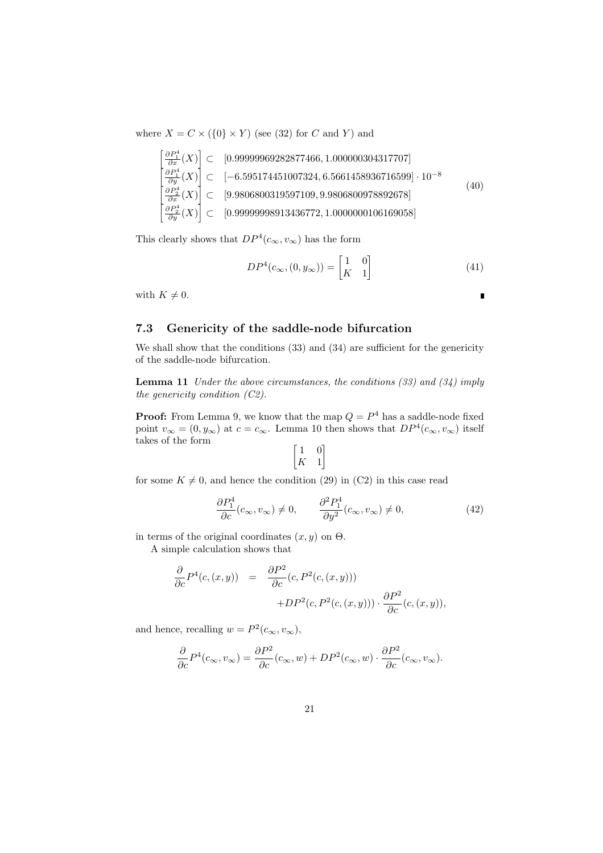where  $X = C \times (\{0\} \times Y)$  (see (32) for C and Y) and

$$
\begin{bmatrix}\n\frac{\partial P_1^4}{\partial x}(X) \\
\frac{\partial P_1^4}{\partial y}(X)\n\end{bmatrix} \subset [0.9999969282877466, 1.000000304317707]\n\begin{bmatrix}\n\frac{\partial P_1^4}{\partial y}(X) \\
\frac{\partial P_2^4}{\partial y}(X)\n\end{bmatrix} \subset [-6.595174451007324, 6.5661458936716599] \cdot 10^{-8}\n\tag{40}\n\begin{bmatrix}\n\frac{\partial P_2^4}{\partial x}(X) \\
\frac{\partial P_2^4}{\partial y}(X)\n\end{bmatrix} \subset [0.99999998913436772, 1.0000000106169058]\n\tag{40}
$$

This clearly shows that  $DP^4(c_{\infty}, v_{\infty})$  has the form

$$
DP^4(c_{\infty}, (0, y_{\infty})) = \begin{bmatrix} 1 & 0 \\ K & 1 \end{bmatrix}
$$
 (41)

 $\blacksquare$ 

with  $K \neq 0$ .

#### 7.3 Genericity of the saddle-node bifurcation

We shall show that the conditions (33) and (34) are sufficient for the genericity of the saddle-node bifurcation.

**Lemma 11** Under the above circumstances, the conditions  $(33)$  and  $(34)$  imply the genericity condition (C2).

**Proof:** From Lemma 9, we know that the map  $Q = P<sup>4</sup>$  has a saddle-node fixed point  $v_{\infty} = (0, y_{\infty})$  at  $c = c_{\infty}$ . Lemma 10 then shows that  $DP^4(c_{\infty}, v_{\infty})$  itself takes of the form ·  $\overline{a}$ 

$$
\begin{bmatrix} 1 & 0 \\ K & 1 \end{bmatrix}
$$

for some  $K \neq 0$ , and hence the condition (29) in (C2) in this case read

$$
\frac{\partial P_1^4}{\partial c}(c_{\infty}, v_{\infty}) \neq 0, \qquad \frac{\partial^2 P_1^4}{\partial y^2}(c_{\infty}, v_{\infty}) \neq 0,
$$
\n(42)

in terms of the original coordinates  $(x, y)$  on  $\Theta$ . A simple calculation shows that

$$
\frac{\partial}{\partial c} P^4(c,(x,y)) = \frac{\partial P^2}{\partial c}(c, P^2(c,(x,y))) + DP^2(c, P^2(c,(x,y))) \cdot \frac{\partial P^2}{\partial c}(c,(x,y)),
$$

and hence, recalling  $w = P^2(c_{\infty}, v_{\infty}),$ 

$$
\frac{\partial}{\partial c}P^4(c_{\infty}, v_{\infty}) = \frac{\partial P^2}{\partial c}(c_{\infty}, w) + DP^2(c_{\infty}, w) \cdot \frac{\partial P^2}{\partial c}(c_{\infty}, v_{\infty}).
$$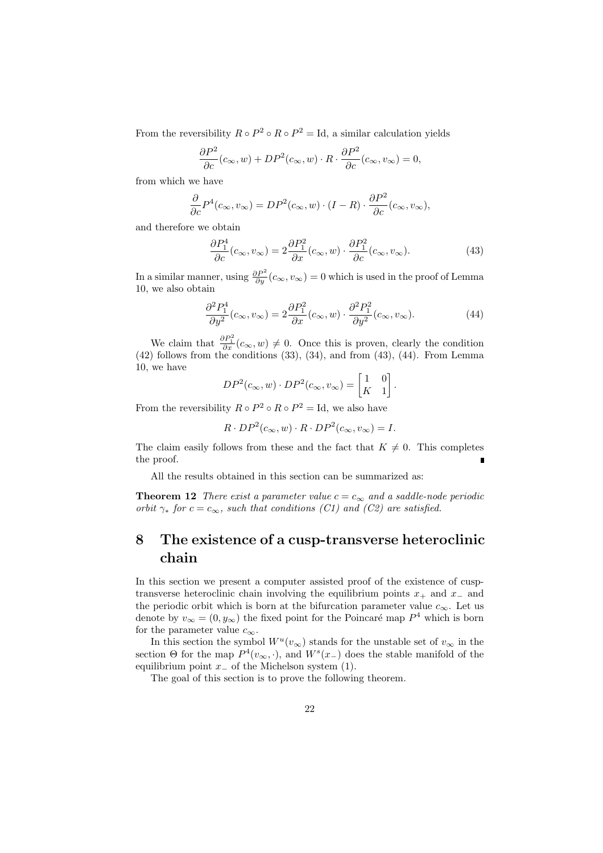From the reversibility  $R \circ P^2 \circ R \circ P^2 = \text{Id}$ , a similar calculation yields

$$
\frac{\partial P^2}{\partial c}(c_{\infty}, w) + DP^2(c_{\infty}, w) \cdot R \cdot \frac{\partial P^2}{\partial c}(c_{\infty}, v_{\infty}) = 0,
$$

from which we have

$$
\frac{\partial}{\partial c}P^4(c_{\infty},v_{\infty})=DP^2(c_{\infty},w)\cdot (I-R)\cdot \frac{\partial P^2}{\partial c}(c_{\infty},v_{\infty}),
$$

and therefore we obtain

$$
\frac{\partial P_1^4}{\partial c}(c_{\infty}, v_{\infty}) = 2 \frac{\partial P_1^2}{\partial x}(c_{\infty}, w) \cdot \frac{\partial P_1^2}{\partial c}(c_{\infty}, v_{\infty}).
$$
\n(43)

In a similar manner, using  $\frac{\partial P^2}{\partial y}(c_{\infty}, v_{\infty}) = 0$  which is used in the proof of Lemma 10, we also obtain

$$
\frac{\partial^2 P_1^4}{\partial y^2}(c_{\infty}, v_{\infty}) = 2 \frac{\partial P_1^2}{\partial x}(c_{\infty}, w) \cdot \frac{\partial^2 P_1^2}{\partial y^2}(c_{\infty}, v_{\infty}).
$$
\n(44)

We claim that  $\frac{\partial P_1^2}{\partial x}(c_{\infty}, w) \neq 0$ . Once this is proven, clearly the condition  $(42)$  follows from the conditions  $(33)$ ,  $(34)$ , and from  $(43)$ ,  $(44)$ . From Lemma 10, we have  $\overline{a}$ 

$$
DP^{2}(c_{\infty}, w) \cdot DP^{2}(c_{\infty}, v_{\infty}) = \begin{bmatrix} 1 & 0 \\ K & 1 \end{bmatrix}.
$$

From the reversibility  $R \circ P^2 \circ R \circ P^2 = \text{Id}$ , we also have

$$
R \cdot DP^{2}(c_{\infty}, w) \cdot R \cdot DP^{2}(c_{\infty}, v_{\infty}) = I.
$$

The claim easily follows from these and the fact that  $K \neq 0$ . This completes the proof.

All the results obtained in this section can be summarized as:

**Theorem 12** There exist a parameter value  $c = c_{\infty}$  and a saddle-node periodic orbit  $\gamma_*$  for  $c = c_{\infty}$ , such that conditions (C1) and (C2) are satisfied.

## 8 The existence of a cusp-transverse heteroclinic chain

In this section we present a computer assisted proof of the existence of cusptransverse heteroclinic chain involving the equilibrium points  $x_+$  and  $x_-\$  and the periodic orbit which is born at the bifurcation parameter value  $c_{\infty}$ . Let us denote by  $v_{\infty} = (0, y_{\infty})$  the fixed point for the Poincaré map  $P^4$  which is born for the parameter value  $c_{\infty}$ .

In this section the symbol  $W^u(v_\infty)$  stands for the unstable set of  $v_\infty$  in the section  $\Theta$  for the map  $P^4(v_\infty, \cdot)$ , and  $W^s(x_+)$  does the stable manifold of the equilibrium point  $x_$  of the Michelson system (1).

The goal of this section is to prove the following theorem.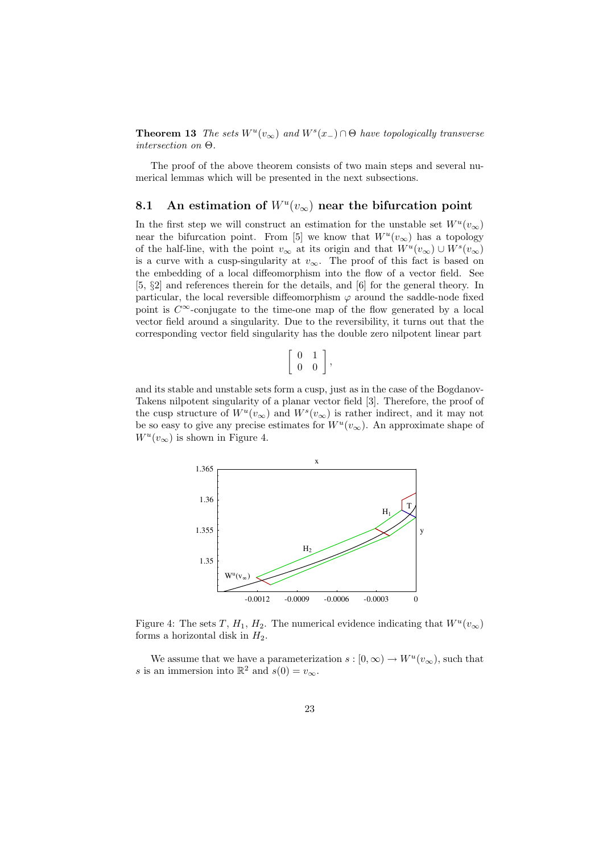**Theorem 13** The sets  $W^u(v_\infty)$  and  $W^s(x_-) \cap \Theta$  have topologically transverse intersection on Θ.

The proof of the above theorem consists of two main steps and several numerical lemmas which will be presented in the next subsections.

## 8.1 An estimation of  $W^u(v_\infty)$  near the bifurcation point

In the first step we will construct an estimation for the unstable set  $W^u(v_\infty)$ near the bifurcation point. From [5] we know that  $W^u(v_\infty)$  has a topology of the half-line, with the point  $v_{\infty}$  at its origin and that  $W^u(v_{\infty}) \cup W^s(v_{\infty})$ is a curve with a cusp-singularity at  $v_{\infty}$ . The proof of this fact is based on the embedding of a local diffeomorphism into the flow of a vector field. See [5, §2] and references therein for the details, and [6] for the general theory. In particular, the local reversible diffeomorphism  $\varphi$  around the saddle-node fixed point is  $C^{\infty}$ -conjugate to the time-one map of the flow generated by a local vector field around a singularity. Due to the reversibility, it turns out that the corresponding vector field singularity has the double zero nilpotent linear part

$$
\left[\begin{array}{cc} 0 & 1 \\ 0 & 0 \end{array}\right],
$$

and its stable and unstable sets form a cusp, just as in the case of the Bogdanov-Takens nilpotent singularity of a planar vector field [3]. Therefore, the proof of the cusp structure of  $W^u(v_\infty)$  and  $W^s(v_\infty)$  is rather indirect, and it may not be so easy to give any precise estimates for  $W^u(v_\infty)$ . An approximate shape of  $W^u(v_\infty)$  is shown in Figure 4.



Figure 4: The sets T,  $H_1$ ,  $H_2$ . The numerical evidence indicating that  $W^u(v_{\infty})$ forms a horizontal disk in  $H_2$ .

We assume that we have a parameterization  $s : [0, \infty) \to W^u(v_{\infty}),$  such that s is an immersion into  $\mathbb{R}^2$  and  $s(0) = v_{\infty}$ .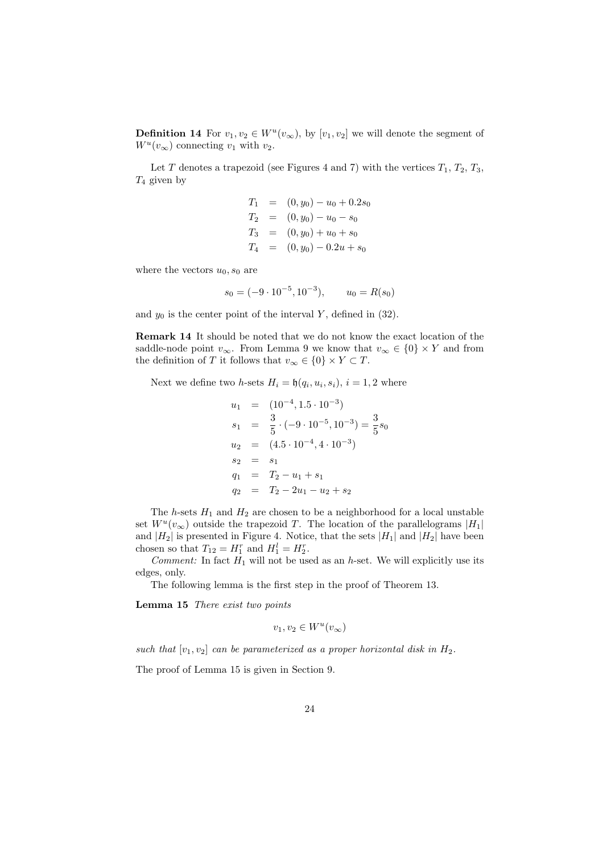**Definition 14** For  $v_1, v_2 \in W^u(v_\infty)$ , by  $[v_1, v_2]$  we will denote the segment of  $W^u(v_\infty)$  connecting  $v_1$  with  $v_2$ .

Let T denotes a trapezoid (see Figures 4 and 7) with the vertices  $T_1, T_2, T_3$ ,  $T_4$  given by

$$
T_1 = (0, y_0) - u_0 + 0.2s_0
$$
  
\n
$$
T_2 = (0, y_0) - u_0 - s_0
$$
  
\n
$$
T_3 = (0, y_0) + u_0 + s_0
$$
  
\n
$$
T_4 = (0, y_0) - 0.2u + s_0
$$

where the vectors  $u_0$ ,  $s_0$  are

$$
s_0 = (-9 \cdot 10^{-5}, 10^{-3}), \qquad u_0 = R(s_0)
$$

and  $y_0$  is the center point of the interval Y, defined in (32).

Remark 14 It should be noted that we do not know the exact location of the saddle-node point  $v_{\infty}$ . From Lemma 9 we know that  $v_{\infty} \in \{0\} \times Y$  and from the definition of T it follows that  $v_{\infty} \in \{0\} \times Y \subset T$ .

Next we define two *h*-sets  $H_i = \mathfrak{h}(q_i, u_i, s_i), i = 1, 2$  where

$$
u_1 = (10^{-4}, 1.5 \cdot 10^{-3})
$$
  
\n
$$
s_1 = \frac{3}{5} \cdot (-9 \cdot 10^{-5}, 10^{-3}) = \frac{3}{5} s_0
$$
  
\n
$$
u_2 = (4.5 \cdot 10^{-4}, 4 \cdot 10^{-3})
$$
  
\n
$$
s_2 = s_1
$$
  
\n
$$
q_1 = T_2 - u_1 + s_1
$$
  
\n
$$
q_2 = T_2 - 2u_1 - u_2 + s_2
$$

The h-sets  $H_1$  and  $H_2$  are chosen to be a neighborhood for a local unstable set  $W^u(v_\infty)$  outside the trapezoid T. The location of the parallelograms  $|H_1|$ and  $|H_2|$  is presented in Figure 4. Notice, that the sets  $|H_1|$  and  $|H_2|$  have been chosen so that  $T_{12} = H_1^r$  and  $H_1^l = H_2^r$ .

Comment: In fact  $H_1$  will not be used as an h-set. We will explicitly use its edges, only.

The following lemma is the first step in the proof of Theorem 13.

Lemma 15 There exist two points

$$
v_1, v_2 \in W^u(v_\infty)
$$

such that  $[v_1, v_2]$  can be parameterized as a proper horizontal disk in  $H_2$ .

The proof of Lemma 15 is given in Section 9.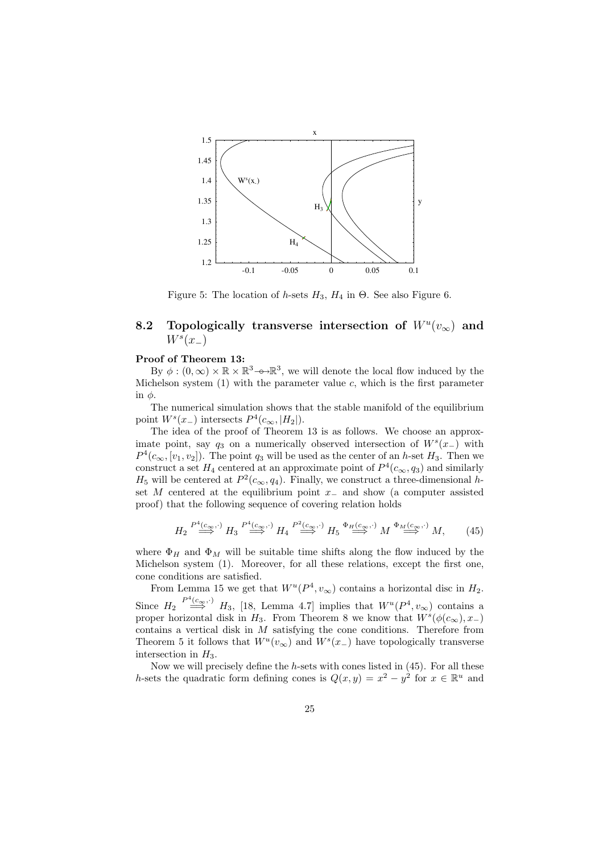

Figure 5: The location of h-sets  $H_3$ ,  $H_4$  in  $\Theta$ . See also Figure 6.

## 8.2 Topologically transverse intersection of  $W^u(v_\infty)$  and  $W^s(x_-\)$

#### Proof of Theorem 13:

By  $\phi: (0, \infty) \times \mathbb{R} \times \mathbb{R}^3$  o  $\mathbb{R}^3$ , we will denote the local flow induced by the Michelson system  $(1)$  with the parameter value c, which is the first parameter in  $\phi$ .

The numerical simulation shows that the stable manifold of the equilibrium point  $W^s(x_-)$  intersects  $P^4(c_{\infty}, |H_2|)$ .

The idea of the proof of Theorem 13 is as follows. We choose an approximate point, say  $q_3$  on a numerically observed intersection of  $W^s(x)$  with  $P^4(c_{\infty}, [v_1, v_2])$ . The point  $q_3$  will be used as the center of an h-set  $H_3$ . Then we construct a set  $H_4$  centered at an approximate point of  $P^4(c_{\infty}, q_3)$  and similarly  $H_5$  will be centered at  $P^2(c_{\infty}, q_4)$ . Finally, we construct a three-dimensional hset M centered at the equilibrium point  $x_$  and show (a computer assisted proof) that the following sequence of covering relation holds

$$
H_2 \stackrel{P^4(c_{\infty},\cdot)}{\Longrightarrow} H_3 \stackrel{P^4(c_{\infty},\cdot)}{\Longrightarrow} H_4 \stackrel{P^2(c_{\infty},\cdot)}{\Longrightarrow} H_5 \stackrel{\Phi_H(c_{\infty},\cdot)}{\Longrightarrow} M \stackrel{\Phi_M(c_{\infty},\cdot)}{\Longrightarrow} M, \tag{45}
$$

where  $\Phi_H$  and  $\Phi_M$  will be suitable time shifts along the flow induced by the Michelson system (1). Moreover, for all these relations, except the first one, cone conditions are satisfied.

From Lemma 15 we get that  $W^u(P^4, v_{\infty})$  contains a horizontal disc in  $H_2$ . Since  $H_2 \stackrel{P^4(c_{\infty},\cdot)}{\Longrightarrow} H_3$ , [18, Lemma 4.7] implies that  $W^u(P^4,v_{\infty})$  contains a proper horizontal disk in  $H_3$ . From Theorem 8 we know that  $W^s(\phi(c_{\infty}), x_{-})$ contains a vertical disk in M satisfying the cone conditions. Therefore from Theorem 5 it follows that  $W^u(v_\infty)$  and  $W^s(x_+)$  have topologically transverse intersection in  $H_3$ .

Now we will precisely define the  $h$ -sets with cones listed in  $(45)$ . For all these h-sets the quadratic form defining cones is  $Q(x, y) = x^2 - y^2$  for  $x \in \mathbb{R}^u$  and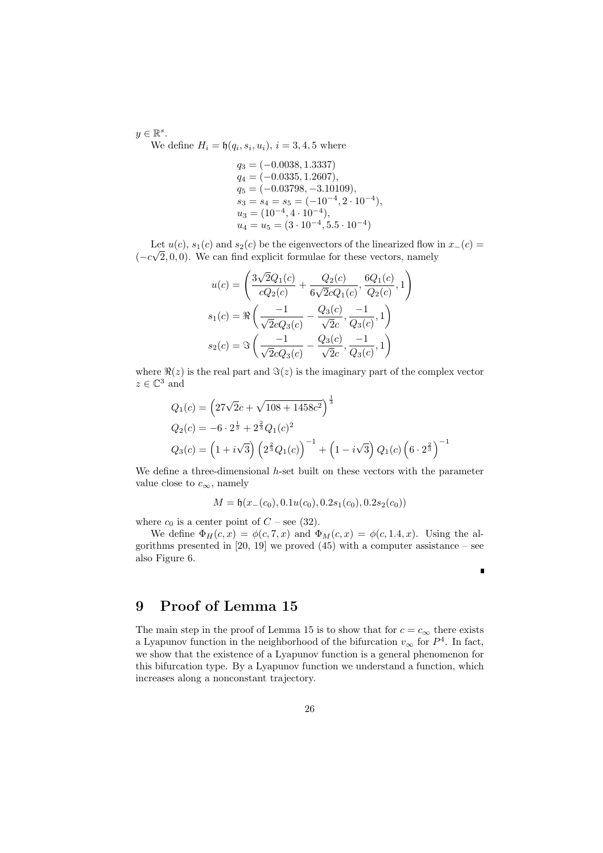$y \in \mathbb{R}^s$ .

We define  $H_i = \mathfrak{h}(q_i, s_i, u_i), i = 3, 4, 5$  where

 $q_3 = (-0.0038, 1.3337)$  $q_4 = (-0.0335, 1.2607),$  $q_5 = (-0.03798, -3.10109),$  $s_3 = s_4 = s_5 = (-10^{-4}, 2 \cdot 10^{-4}),$  $u_3 = (10^{-4}, 4 \cdot 10^{-4}),$  $u_4 = u_5 = (3 \cdot 10^{-4}, 5.5 \cdot 10^{-4})$ 

Let  $u(c)$ ,  $s_1(c)$  and  $s_2(c)$  be the eigenvectors of the linearized flow in  $x-(c) =$  $(-c\sqrt{2},0,0)$ . We can find explicit formulae for these vectors, namely

$$
u(c) = \left(\frac{3\sqrt{2}Q_1(c)}{cQ_2(c)} + \frac{Q_2(c)}{6\sqrt{2}cQ_1(c)}, \frac{6Q_1(c)}{Q_2(c)}, 1\right)
$$
  

$$
s_1(c) = \Re\left(\frac{-1}{\sqrt{2}cQ_3(c)} - \frac{Q_3(c)}{\sqrt{2}c}, \frac{-1}{Q_3(c)}, 1\right)
$$
  

$$
s_2(c) = \Im\left(\frac{-1}{\sqrt{2}cQ_3(c)} - \frac{Q_3(c)}{\sqrt{2}c}, \frac{-1}{Q_3(c)}, 1\right)
$$

where  $\Re(z)$  is the real part and  $\Im(z)$  is the imaginary part of the complex vector  $z \in \mathbb{C}^3$  and

$$
Q_1(c) = \left(27\sqrt{2}c + \sqrt{108 + 1458c^2}\right)^{\frac{1}{3}}
$$
  
\n
$$
Q_2(c) = -6 \cdot 2^{\frac{1}{3}} + 2^{\frac{2}{3}}Q_1(c)^2
$$
  
\n
$$
Q_3(c) = \left(1 + i\sqrt{3}\right) \left(2^{\frac{2}{3}}Q_1(c)\right)^{-1} + \left(1 - i\sqrt{3}\right)Q_1(c)\left(6 \cdot 2^{\frac{2}{3}}\right)^{-1}
$$

We define a three-dimensional  $h$ -set built on these vectors with the parameter value close to  $c_{\infty}$ , namely

$$
M = \mathfrak{h}(x_{-}(c_0), 0.1u(c_0), 0.2s_1(c_0), 0.2s_2(c_0))
$$

where  $c_0$  is a center point of  $C$  – see (32).

We define  $\Phi_H(c, x) = \phi(c, 7, x)$  and  $\Phi_M(c, x) = \phi(c, 1.4, x)$ . Using the algorithms presented in [20, 19] we proved  $(45)$  with a computer assistance – see also Figure 6.

r

## 9 Proof of Lemma 15

The main step in the proof of Lemma 15 is to show that for  $c = c_{\infty}$  there exists a Lyapunov function in the neighborhood of the bifurcation  $v_{\infty}$  for  $P^4$ . In fact, we show that the existence of a Lyapunov function is a general phenomenon for this bifurcation type. By a Lyapunov function we understand a function, which increases along a nonconstant trajectory.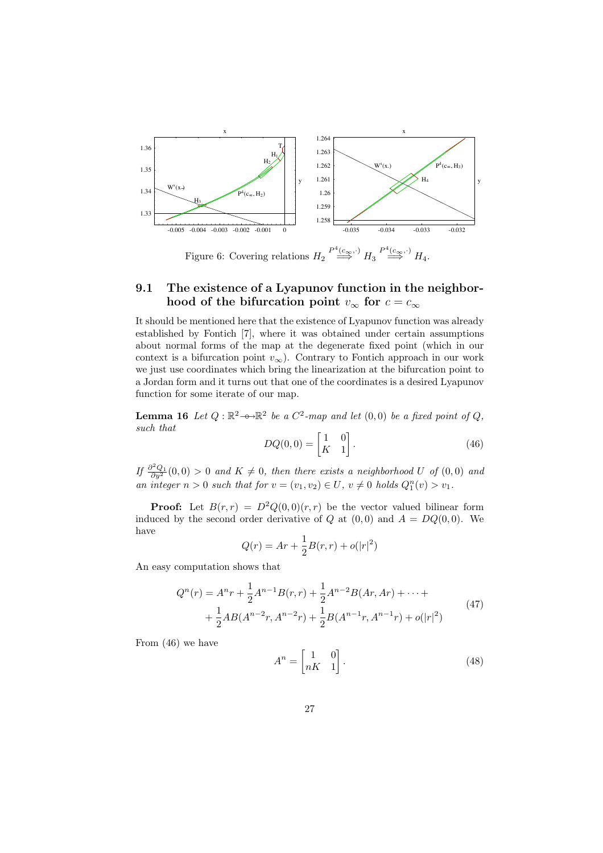

Figure 6: Covering relations  $H_2 \stackrel{P^4(c_{\infty},\cdot)}{\Longrightarrow} H_3 \stackrel{P^4(c_{\infty},\cdot)}{\Longrightarrow} H_4.$ 

### 9.1 The existence of a Lyapunov function in the neighborhood of the bifurcation point  $v_{\infty}$  for  $c = c_{\infty}$

It should be mentioned here that the existence of Lyapunov function was already established by Fontich [7], where it was obtained under certain assumptions about normal forms of the map at the degenerate fixed point (which in our context is a bifurcation point  $v_{\infty}$ ). Contrary to Fontich approach in our work we just use coordinates which bring the linearization at the bifurcation point to a Jordan form and it turns out that one of the coordinates is a desired Lyapunov function for some iterate of our map.

**Lemma 16** Let  $Q : \mathbb{R}^2 \longrightarrow \mathbb{R}^2$  be a  $C^2$ -map and let  $(0,0)$  be a fixed point of  $Q$ , such that  $\overline{a}$ 

$$
DQ(0,0) = \begin{bmatrix} 1 & 0 \\ K & 1 \end{bmatrix}.
$$
 (46)

If  $\frac{\partial^2 Q_1}{\partial y^2}(0,0) > 0$  and  $K \neq 0$ , then there exists a neighborhood U of  $(0,0)$  and an integer  $n > 0$  such that for  $v = (v_1, v_2) \in U$ ,  $v \neq 0$  holds  $Q_1^n(v) > v_1$ .

**Proof:** Let  $B(r,r) = D^2Q(0,0)(r,r)$  be the vector valued bilinear form induced by the second order derivative of Q at  $(0,0)$  and  $A = DQ(0,0)$ . We have

$$
Q(r) = Ar + \frac{1}{2}B(r, r) + o(|r|^2)
$$

An easy computation shows that

$$
Q^{n}(r) = A^{n}r + \frac{1}{2}A^{n-1}B(r,r) + \frac{1}{2}A^{n-2}B(Ar,Ar) + \cdots +
$$
  
+ 
$$
\frac{1}{2}AB(A^{n-2}r, A^{n-2}r) + \frac{1}{2}B(A^{n-1}r, A^{n-1}r) + o(|r|^{2})
$$
 (47)

From (46) we have

$$
A^n = \begin{bmatrix} 1 & 0 \\ nK & 1 \end{bmatrix} . \tag{48}
$$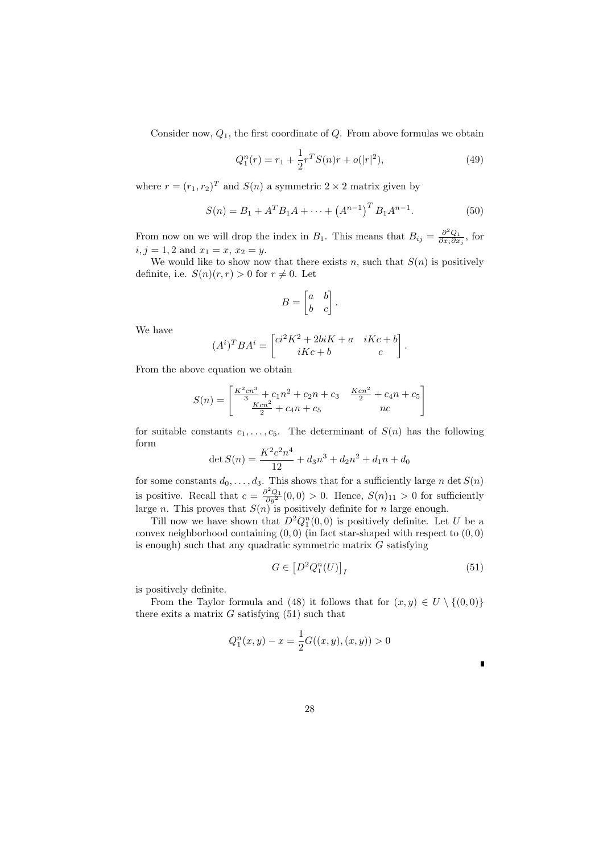Consider now,  $Q_1$ , the first coordinate of  $Q$ . From above formulas we obtain

$$
Q_1^n(r) = r_1 + \frac{1}{2}r^T S(n)r + o(|r|^2),\tag{49}
$$

where  $r = (r_1, r_2)^T$  and  $S(n)$  a symmetric  $2 \times 2$  matrix given by

$$
S(n) = B_1 + A^T B_1 A + \dots + (A^{n-1})^T B_1 A^{n-1}.
$$
 (50)

From now on we will drop the index in  $B_1$ . This means that  $B_{ij} = \frac{\partial^2 Q_1}{\partial x_i \partial x_j}$ , for  $i, j = 1, 2$  and  $x_1 = x, x_2 = y$ .

We would like to show now that there exists n, such that  $S(n)$  is positively definite, i.e.  $S(n)(r, r) > 0$  for  $r \neq 0$ . Let

$$
B = \begin{bmatrix} a & b \\ b & c \end{bmatrix}.
$$

We have

$$
(A^i)^T B A^i = \begin{bmatrix} c i^2 K^2 + 2biK + a & iKc + b \\ iKc + b & c \end{bmatrix}.
$$

From the above equation we obtain

$$
S(n) = \begin{bmatrix} \frac{K^2cn^3}{3} + c_1n^2 + c_2n + c_3 & \frac{Kcn^2}{2} + c_4n + c_5\\ \frac{Kcn^2}{2} + c_4n + c_5 & nc \end{bmatrix}
$$

for suitable constants  $c_1, \ldots, c_5$ . The determinant of  $S(n)$  has the following form

$$
\det S(n) = \frac{K^2 c^2 n^4}{12} + d_3 n^3 + d_2 n^2 + d_1 n + d_0
$$

for some constants  $d_0, \ldots, d_3$ . This shows that for a sufficiently large n det  $S(n)$ is positive. Recall that  $c = \frac{\partial^2 Q_1}{\partial y^2}(0,0) > 0$ . Hence,  $S(n)_{11} > 0$  for sufficiently large n. This proves that  $S(n)$  is positively definite for n large enough.

Till now we have shown that  $D^2Q_1^n(0,0)$  is positively definite. Let U be a convex neighborhood containing  $(0,0)$  (in fact star-shaped with respect to  $(0,0)$ ) is enough) such that any quadratic symmetric matrix  $G$  satisfying

$$
G \in \left[ D^2 Q_1^n(U) \right]_I \tag{51}
$$

п

is positively definite.

From the Taylor formula and (48) it follows that for  $(x, y) \in U \setminus \{(0, 0)\}\$ there exits a matrix  $G$  satisfying  $(51)$  such that

$$
Q_1^n(x, y) - x = \frac{1}{2}G((x, y), (x, y)) > 0
$$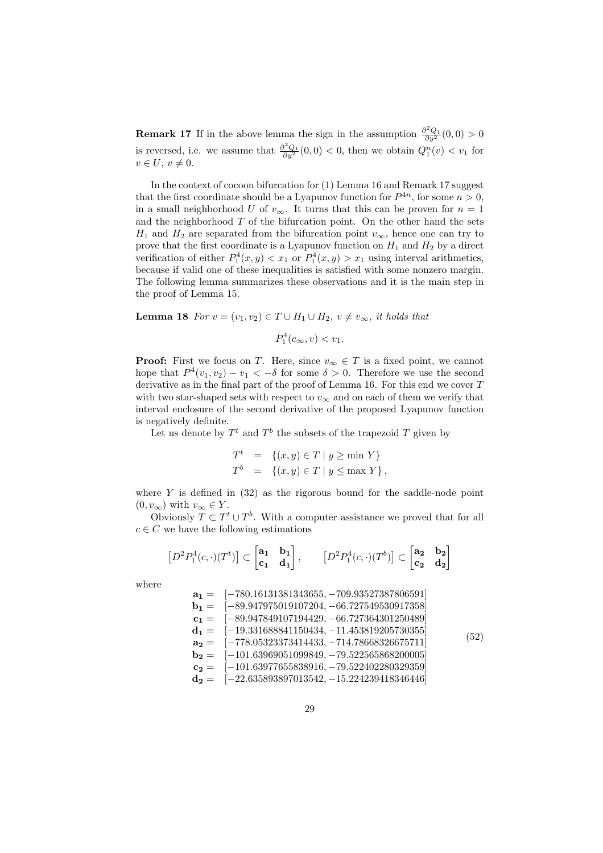**Remark 17** If in the above lemma the sign in the assumption  $\frac{\partial^2 Q_1}{\partial y^2}(0,0) > 0$ is reversed, i.e. we assume that  $\frac{\partial^2 Q_1}{\partial y^2}(0,0) < 0$ , then we obtain  $Q_1^n(v) < v_1$  for  $v \in U, v \neq 0.$ 

In the context of cocoon bifurcation for (1) Lemma 16 and Remark 17 suggest that the first coordinate should be a Lyapunov function for  $P^{4n}$ , for some  $n > 0$ , in a small neighborhood U of  $v_{\infty}$ . It turns that this can be proven for  $n = 1$ and the neighborhood  $T$  of the bifurcation point. On the other hand the sets  $H_1$  and  $H_2$  are separated from the bifurcation point  $v_{\infty}$ , hence one can try to prove that the first coordinate is a Lyapunov function on  $H_1$  and  $H_2$  by a direct verification of either  $P_1^4(x, y) < x_1$  or  $P_1^4(x, y) > x_1$  using interval arithmetics, because if valid one of these inequalities is satisfied with some nonzero margin. The following lemma summarizes these observations and it is the main step in the proof of Lemma 15.

**Lemma 18** For  $v = (v_1, v_2) \in T \cup H_1 \cup H_2$ ,  $v \neq v_\infty$ , it holds that

$$
P_1^4(c_{\infty}, v) < v_1.
$$

**Proof:** First we focus on T. Here, since  $v_{\infty} \in T$  is a fixed point, we cannot hope that  $P^4(v_1, v_2) - v_1 < -\delta$  for some  $\delta > 0$ . Therefore we use the second derivative as in the final part of the proof of Lemma 16. For this end we cover T with two star-shaped sets with respect to  $v_{\infty}$  and on each of them we verify that interval enclosure of the second derivative of the proposed Lyapunov function is negatively definite.

Let us denote by  $T<sup>t</sup>$  and  $T<sup>b</sup>$  the subsets of the trapezoid T given by

$$
Tt = \{(x, y) \in T \mid y \ge \min Y\}
$$
  

$$
Tb = \{(x, y) \in T \mid y \le \max Y\},
$$

where  $Y$  is defined in  $(32)$  as the rigorous bound for the saddle-node point  $(0, v_{\infty})$  with  $v_{\infty} \in Y$ .

Obviously  $T \subset T^t \cup T^b$ . With a computer assistance we proved that for all  $c \in C$  we have the following estimations

$$
\left[D^2P_1^4(c,\cdot)(T^t)\right] \subset \begin{bmatrix} \mathbf{a_1} & \mathbf{b_1} \\ \mathbf{c_1} & \mathbf{d_1} \end{bmatrix}, \qquad \left[D^2P_1^4(c,\cdot)(T^b)\right] \subset \begin{bmatrix} \mathbf{a_2} & \mathbf{b_2} \\ \mathbf{c_2} & \mathbf{d_2} \end{bmatrix}
$$

where

| $a_1 = [-780.16131381343655, -709.93527387806591]$                                       |      |
|------------------------------------------------------------------------------------------|------|
| $b1 = [-89.947975019107204, -66.727549530917358]$                                        |      |
| $\mathbf{c_1} = \begin{bmatrix} -89.947849107194429, -66.727364301250489 \end{bmatrix}$  |      |
| $\mathbf{d_1} = \begin{bmatrix} -19.331688841150434, -11.453819205730355 \end{bmatrix}$  | (52) |
| $\mathbf{a_2} = \begin{bmatrix} -778.05323373414433 & -714.78668326675711 \end{bmatrix}$ |      |
| $b2 = [-101.63969051099849, -79.522565868200005]$                                        |      |
| $\mathbf{c_2} = \begin{bmatrix} -101.63977655838916, -79.522402280329359 \end{bmatrix}$  |      |
| $\mathbf{d_2} = \begin{bmatrix} -22.635893897013542, -15.224239418346446 \end{bmatrix}$  |      |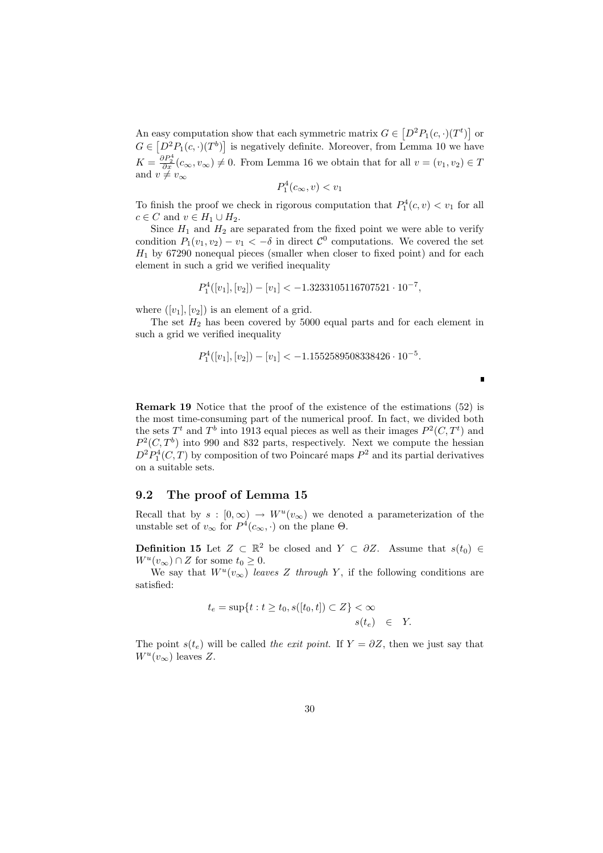An easy computation show that each symmetric matrix  $G \in$  $\left[D^2P_1(c, \cdot)(T^t)\right]$ l<br>E asy computation show that each symmetric matrix  $G \in [D^2P_1(c,\cdot)(T^t)]$  or  $G \in [D^2P_1(c, \cdot)(T^b)]$  is negatively definite. Moreover, from Lemma 10 we have  $K = \frac{\partial P_2^4}{\partial x}(c_{\infty}, v_{\infty}) \neq 0$ . From Lemma 16 we obtain that for all  $v = (v_1, v_2) \in T$ and  $v \neq v_{\infty}$ 

$$
P_1^4(c_{\infty}, v) < v_1
$$

To finish the proof we check in rigorous computation that  $P_1^4(c, v) < v_1$  for all  $c \in C$  and  $v \in H_1 \cup H_2$ .

Since  $H_1$  and  $H_2$  are separated from the fixed point we were able to verify condition  $P_1(v_1, v_2) - v_1 < -\delta$  in direct  $\mathcal{C}^0$  computations. We covered the set  $H_1$  by 67290 nonequal pieces (smaller when closer to fixed point) and for each element in such a grid we verified inequality

$$
P_1^4([v_1],[v_2]) - [v_1] < -1.3233105116707521 \cdot 10^{-7},
$$

where  $([v_1], [v_2])$  is an element of a grid.

The set  $H_2$  has been covered by 5000 equal parts and for each element in such a grid we verified inequality

$$
P_1^4([v_1],[v_2]) - [v_1] < -1.1552589508338426 \cdot 10^{-5}.
$$

п

Remark 19 Notice that the proof of the existence of the estimations (52) is the most time-consuming part of the numerical proof. In fact, we divided both the sets  $T<sup>t</sup>$  and  $T<sup>b</sup>$  into 1913 equal pieces as well as their images  $P<sup>2</sup>(C, T<sup>t</sup>)$  and  $P^2(C, T^b)$  into 990 and 832 parts, respectively. Next we compute the hessian  $D^2P_1^4(C,T)$  by composition of two Poincaré maps  $P^2$  and its partial derivatives on a suitable sets.

#### 9.2 The proof of Lemma 15

Recall that by  $s : [0, \infty) \to W^u(v_{\infty})$  we denoted a parameterization of the unstable set of  $v_{\infty}$  for  $P^4(c_{\infty}, \cdot)$  on the plane  $\Theta$ .

**Definition 15** Let  $Z \subset \mathbb{R}^2$  be closed and  $Y \subset \partial Z$ . Assume that  $s(t_0) \in$  $W^u(v_\infty) \cap Z$  for some  $t_0 \geq 0$ .

We say that  $W^u(v_\infty)$  leaves Z through Y, if the following conditions are satisfied:

$$
t_e = \sup\{t : t \ge t_0, s([t_0, t]) \subset Z\} < \infty
$$
  

$$
s(t_e) \in Y.
$$

The point  $s(t_e)$  will be called the exit point. If  $Y = \partial Z$ , then we just say that  $W^u(v_\infty)$  leaves Z.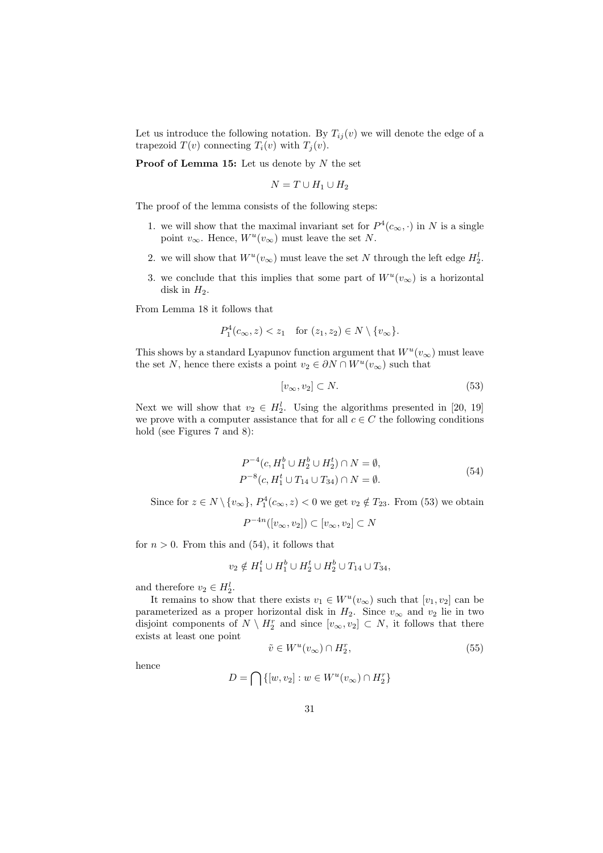Let us introduce the following notation. By  $T_{ij}(v)$  we will denote the edge of a trapezoid  $T(v)$  connecting  $T_i(v)$  with  $T_i(v)$ .

**Proof of Lemma 15:** Let us denote by  $N$  the set

$$
N = T \cup H_1 \cup H_2
$$

The proof of the lemma consists of the following steps:

- 1. we will show that the maximal invariant set for  $P^4(c_{\infty},\cdot)$  in N is a single point  $v_{\infty}$ . Hence,  $W^u(v_{\infty})$  must leave the set N.
- 2. we will show that  $W^u(v_\infty)$  must leave the set N through the left edge  $H_2^l$ .
- 3. we conclude that this implies that some part of  $W^u(v_\infty)$  is a horizontal disk in  $H_2$ .

From Lemma 18 it follows that

$$
P_1^4(c_{\infty}, z) < z_1 \quad \text{for } (z_1, z_2) \in N \setminus \{v_{\infty}\}.
$$

This shows by a standard Lyapunov function argument that  $W^u(v_\infty)$  must leave the set N, hence there exists a point  $v_2 \in \partial N \cap W^u(v_\infty)$  such that

$$
[v_{\infty}, v_2] \subset N. \tag{53}
$$

Next we will show that  $v_2 \in H_2^l$ . Using the algorithms presented in [20, 19] we prove with a computer assistance that for all  $c \in C$  the following conditions hold (see Figures 7 and 8):

$$
P^{-4}(c, H_1^b \cup H_2^b \cup H_2^t) \cap N = \emptyset,
$$
  
\n
$$
P^{-8}(c, H_1^t \cup T_{14} \cup T_{34}) \cap N = \emptyset.
$$
\n(54)

Since for  $z \in N \setminus \{v_{\infty}\}, P_1^4(c_{\infty}, z) < 0$  we get  $v_2 \notin T_{23}$ . From (53) we obtain

$$
P^{-4n}([v_{\infty},v_2]) \subset [v_{\infty},v_2] \subset N
$$

for  $n > 0$ . From this and (54), it follows that

$$
v_2 \notin H_1^t \cup H_1^b \cup H_2^t \cup H_2^b \cup T_{14} \cup T_{34},
$$

and therefore  $v_2 \in H_2^l$ .

It remains to show that there exists  $v_1 \in W^u(v_\infty)$  such that  $[v_1, v_2]$  can be parameterized as a proper horizontal disk in  $H_2$ . Since  $v_{\infty}$  and  $v_2$  lie in two disjoint components of  $N \setminus H_2^r$  and since  $[v_{\infty}, v_2] \subset N$ , it follows that there exists at least one point

$$
\tilde{v} \in W^u(v_{\infty}) \cap H_2^r,\tag{55}
$$

hence

$$
D = \bigcap \{ [w, v_2] : w \in W^u(v_\infty) \cap H_2^r \}
$$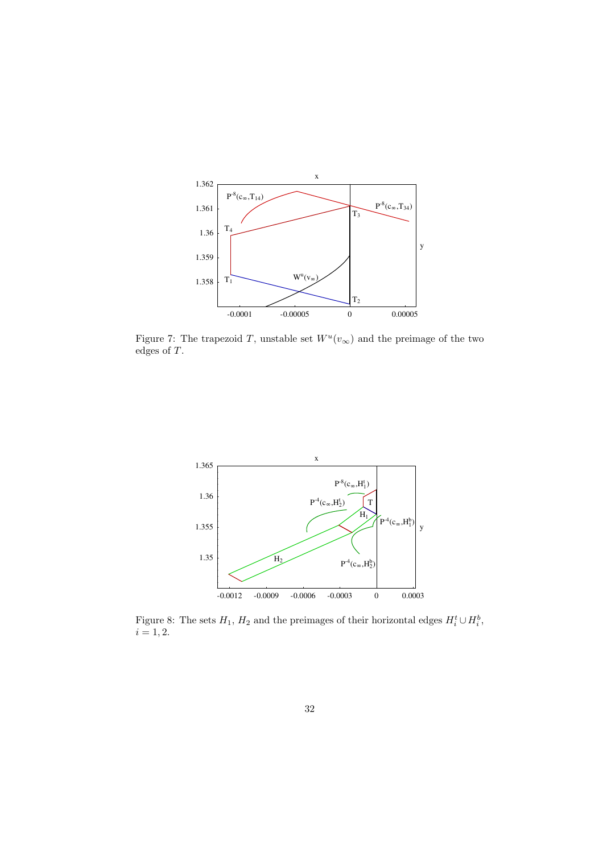

Figure 7: The trapezoid T, unstable set  $W^u(v_\infty)$  and the preimage of the two edges of T.



Figure 8: The sets  $H_1$ ,  $H_2$  and the preimages of their horizontal edges  $H_i^t \cup H_i^b$ ,  $i = 1, 2.$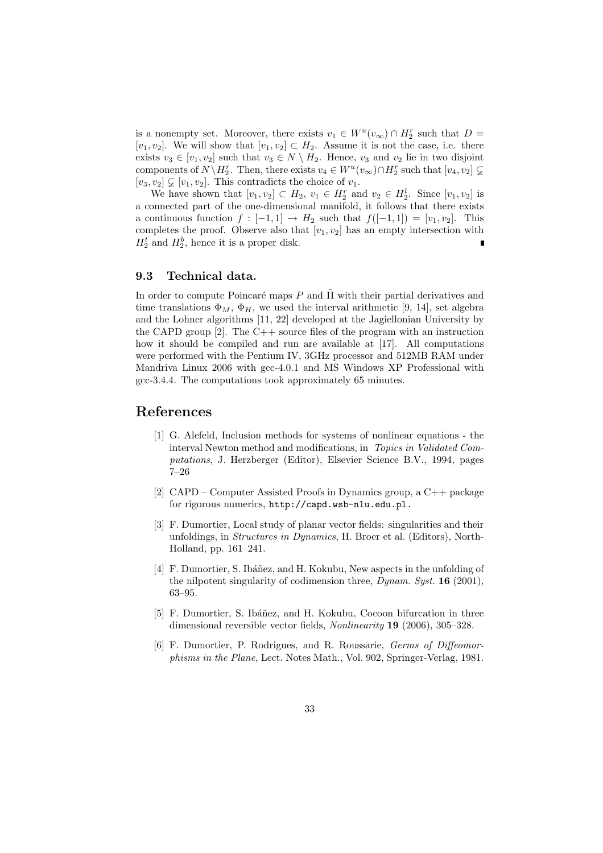is a nonempty set. Moreover, there exists  $v_1 \in W^u(v_\infty) \cap H_2^r$  such that  $D =$ [ $v_1, v_2$ ]. We will show that  $[v_1, v_2] \subset H_2$ . Assume it is not the case, i.e. there exists  $v_3 \in [v_1, v_2]$  such that  $v_3 \in N \setminus H_2$ . Hence,  $v_3$  and  $v_2$  lie in two disjoint components of  $N\backslash H_2^r$ . Then, there exists  $v_4 \in W^u(v_\infty) \cap H_2^r$  such that  $[v_4, v_2] \subsetneq$  $[v_3, v_2] \subsetneq [v_1, v_2]$ . This contradicts the choice of  $v_1$ .

We have shown that  $[v_1, v_2] \subset H_2$ ,  $v_1 \in H_2^r$  and  $v_2 \in H_2^l$ . Since  $[v_1, v_2]$  is a connected part of the one-dimensional manifold, it follows that there exists a continuous function  $f : [-1,1] \rightarrow H_2$  such that  $f([-1,1]) = [v_1, v_2]$ . This completes the proof. Observe also that  $[v_1, v_2]$  has an empty intersection with  $H_2^t$  and  $H_2^b$ , hence it is a proper disk.

#### 9.3 Technical data.

In order to compute Poincaré maps P and  $\Pi$  with their partial derivatives and time translations  $\Phi_M$ ,  $\Phi_H$ , we used the interval arithmetic [9, 14], set algebra and the Lohner algorithms [11, 22] developed at the Jagiellonian University by the CAPD group  $[2]$ . The C++ source files of the program with an instruction how it should be compiled and run are available at [17]. All computations were performed with the Pentium IV, 3GHz processor and 512MB RAM under Mandriva Linux 2006 with gcc-4.0.1 and MS Windows XP Professional with gcc-3.4.4. The computations took approximately 65 minutes.

#### References

- [1] G. Alefeld, Inclusion methods for systems of nonlinear equations the interval Newton method and modifications, in Topics in Validated Computations, J. Herzberger (Editor), Elsevier Science B.V., 1994, pages 7–26
- [2] CAPD Computer Assisted Proofs in Dynamics group, a C++ package for rigorous numerics, http://capd.wsb-nlu.edu.pl.
- [3] F. Dumortier, Local study of planar vector fields: singularities and their unfoldings, in Structures in Dynamics, H. Broer et al. (Editors), North-Holland, pp. 161–241.
- [4] F. Dumortier, S. Ibáñez, and H. Kokubu, New aspects in the unfolding of the nilpotent singularity of codimension three, Dynam. Syst. 16 (2001), 63–95.
- [5] F. Dumortier, S. Ibáñez, and H. Kokubu, Cocoon bifurcation in three dimensional reversible vector fields, Nonlinearity 19 (2006), 305–328.
- [6] F. Dumortier, P. Rodrigues, and R. Roussarie, Germs of Diffeomorphisms in the Plane, Lect. Notes Math., Vol. 902, Springer-Verlag, 1981.